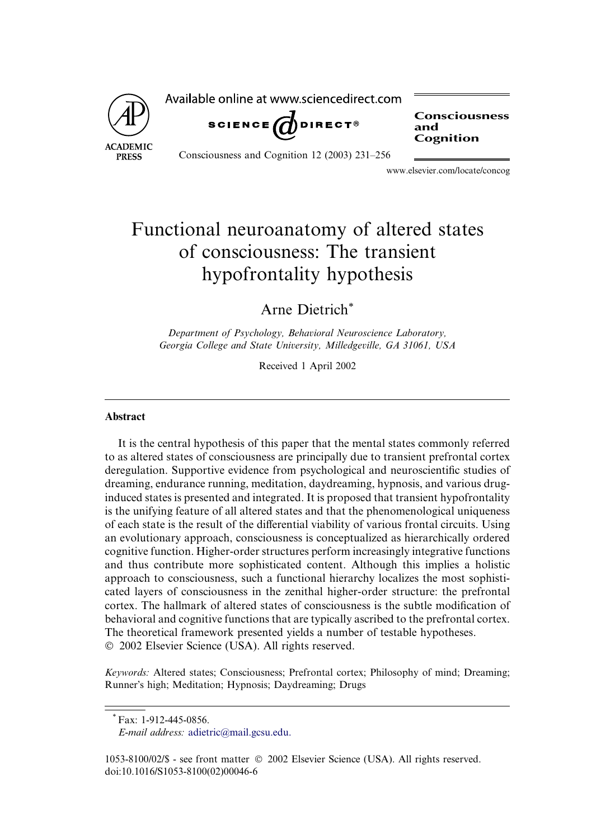

www.elsevier.com/locate/concog

# Functional neuroanatomy of altered states of consciousness: The transient hypofrontality hypothesis

Arne Dietrich\*

Department of Psychology, Behavioral Neuroscience Laboratory, Georgia College and State University, Milledgeville, GA31061, USA

Received 1 April 2002

#### Abstract

It is the central hypothesis of this paper that the mental states commonly referred to as altered states of consciousness are principally due to transient prefrontal cortex deregulation. Supportive evidence from psychological and neuroscientific studies of dreaming, endurance running, meditation, daydreaming, hypnosis, and various druginduced states is presented and integrated.It is proposed that transient hypofrontality is the unifying feature of all altered states and that the phenomenological uniqueness of each state is the result of the differential viability of various frontal circuits.Using an evolutionary approach, consciousness is conceptualized as hierarchically ordered cognitive function.Higher-order structures perform increasingly integrative functions and thus contribute more sophisticated content.Although this implies a holistic approach to consciousness, such a functional hierarchy localizes the most sophisticated layers of consciousness in the zenithal higher-order structure: the prefrontal cortex.The hallmark of altered states of consciousness is the subtle modification of behavioral and cognitive functions that are typically ascribed to the prefrontal cortex. The theoretical framework presented yields a number of testable hypotheses. 2002 Elsevier Science (USA).All rights reserved.

Keywords: Altered states; Consciousness; Prefrontal cortex; Philosophy of mind; Dreaming; Runner's high; Meditation; Hypnosis; Daydreaming; Drugs

1053-8100/02/\$ - see front matter 2002 Elsevier Science (USA).All rights reserved. doi:10.1016/S1053-8100(02)00046-6

 $F_{\rm A}$  = 1.912-445-0856

E-mail address: [adietric@mail.gcsu.edu.](mail to: adietric@mail.gcsu.edu)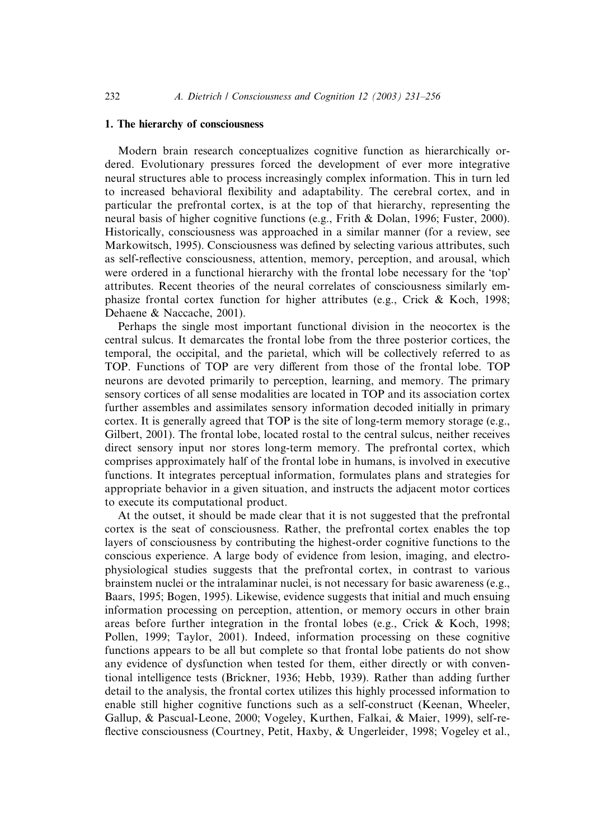#### 1. The hierarchy of consciousness

Modern brain research conceptualizes cognitive function as hierarchically ordered.Evolutionary pressures forced the development of ever more integrative neural structures able to process increasingly complex information.This in turn led to increased behavioral flexibility and adaptability.The cerebral cortex, and in particular the prefrontal cortex, is at the top of that hierarchy, representing the neural basis of higher cognitive functions (e.g., Frith & Dolan, 1996; Fuster, 2000). Historically, consciousness was approached in a similar manner (for a review, see Markowitsch, 1995). Consciousness was defined by selecting various attributes, such as self-reflective consciousness, attention, memory, perception, and arousal, which were ordered in a functional hierarchy with the frontal lobe necessary for the 'top' attributes.Recent theories of the neural correlates of consciousness similarly emphasize frontal cortex function for higher attributes (e.g., Crick & Koch, 1998; Dehaene & Naccache, 2001).

Perhaps the single most important functional division in the neocortex is the central sulcus.It demarcates the frontal lobe from the three posterior cortices, the temporal, the occipital, and the parietal, which will be collectively referred to as TOP. Functions of TOP are very different from those of the frontal lobe. TOP neurons are devoted primarily to perception, learning, and memory.The primary sensory cortices of all sense modalities are located in TOP and its association cortex further assembles and assimilates sensory information decoded initially in primary cortex. It is generally agreed that TOP is the site of long-term memory storage (e.g., Gilbert, 2001). The frontal lobe, located rostal to the central sulcus, neither receives direct sensory input nor stores long-term memory. The prefrontal cortex, which comprises approximately half of the frontal lobe in humans, is involved in executive functions.It integrates perceptual information, formulates plans and strategies for appropriate behavior in a given situation, and instructs the adjacent motor cortices to execute its computational product.

At the outset, it should be made clear that it is not suggested that the prefrontal cortex is the seat of consciousness.Rather, the prefrontal cortex enables the top layers of consciousness by contributing the highest-order cognitive functions to the conscious experience.A large body of evidence from lesion, imaging, and electrophysiological studies suggests that the prefrontal cortex, in contrast to various brainstem nuclei or the intralaminar nuclei, is not necessary for basic awareness (e.g., Baars, 1995; Bogen, 1995).Likewise, evidence suggests that initial and much ensuing information processing on perception, attention, or memory occurs in other brain areas before further integration in the frontal lobes (e.g., Crick & Koch, 1998; Pollen, 1999; Taylor, 2001). Indeed, information processing on these cognitive functions appears to be all but complete so that frontal lobe patients do not show any evidence of dysfunction when tested for them, either directly or with conventional intelligence tests (Brickner, 1936; Hebb, 1939). Rather than adding further detail to the analysis, the frontal cortex utilizes this highly processed information to enable still higher cognitive functions such as a self-construct (Keenan, Wheeler, Gallup, & Pascual-Leone, 2000; Vogeley, Kurthen, Falkai, & Maier, 1999), self-reflective consciousness (Courtney, Petit, Haxby, & Ungerleider, 1998; Vogeley et al.,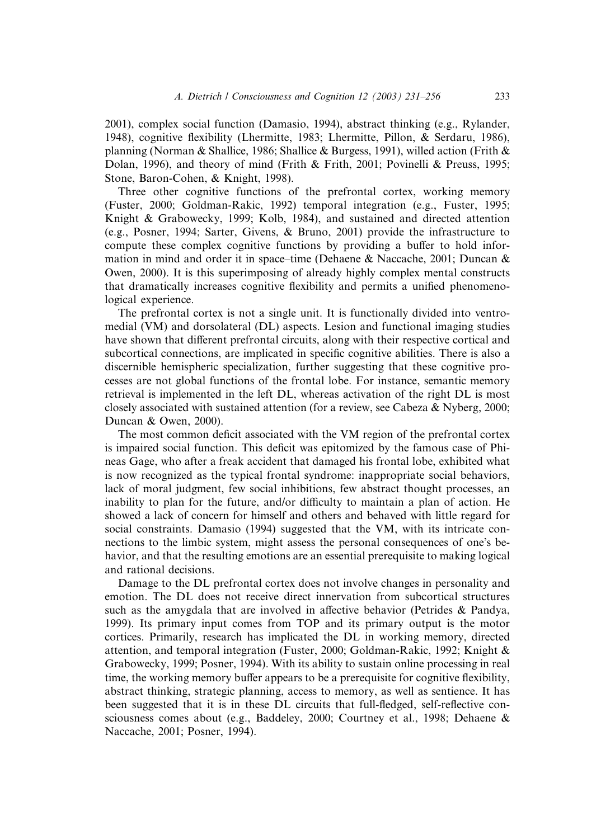2001), complex social function (Damasio, 1994), abstract thinking (e.g., Rylander, 1948), cognitive flexibility (Lhermitte, 1983; Lhermitte, Pillon, & Serdaru, 1986), planning (Norman & Shallice, 1986; Shallice & Burgess, 1991), willed action (Frith & Dolan, 1996), and theory of mind (Frith & Frith, 2001; Povinelli & Preuss, 1995; Stone, Baron-Cohen, & Knight, 1998).

Three other cognitive functions of the prefrontal cortex, working memory (Fuster, 2000; Goldman-Rakic, 1992) temporal integration (e.g., Fuster, 1995; Knight & Grabowecky, 1999; Kolb, 1984), and sustained and directed attention (e.g., Posner, 1994; Sarter, Givens, & Bruno, 2001) provide the infrastructure to compute these complex cognitive functions by providing a buffer to hold information in mind and order it in space–time (Dehaene & Naccache, 2001; Duncan & Owen, 2000). It is this superimposing of already highly complex mental constructs that dramatically increases cognitive flexibility and permits a unified phenomenological experience.

The prefrontal cortex is not a single unit.It is functionally divided into ventromedial (VM) and dorsolateral (DL) aspects.Lesion and functional imaging studies have shown that different prefrontal circuits, along with their respective cortical and subcortical connections, are implicated in specific cognitive abilities.There is also a discernible hemispheric specialization, further suggesting that these cognitive processes are not global functions of the frontal lobe.For instance, semantic memory retrieval is implemented in the left DL, whereas activation of the right DL is most closely associated with sustained attention (for a review, see Cabeza & Nyberg, 2000; Duncan & Owen, 2000).

The most common deficit associated with the VM region of the prefrontal cortex is impaired social function.This deficit was epitomized by the famous case of Phineas Gage, who after a freak accident that damaged his frontal lobe, exhibited what is now recognized as the typical frontal syndrome: inappropriate social behaviors, lack of moral judgment, few social inhibitions, few abstract thought processes, an inability to plan for the future, and/or difficulty to maintain a plan of action.He showed a lack of concern for himself and others and behaved with little regard for social constraints. Damasio (1994) suggested that the VM, with its intricate connections to the limbic system, might assess the personal consequences of one's behavior, and that the resulting emotions are an essential prerequisite to making logical and rational decisions.

Damage to the DL prefrontal cortex does not involve changes in personality and emotion.The DL does not receive direct innervation from subcortical structures such as the amygdala that are involved in affective behavior (Petrides & Pandya, 1999).Its primary input comes from TOP and its primary output is the motor cortices. Primarily, research has implicated the DL in working memory, directed attention, and temporal integration (Fuster, 2000; Goldman-Rakic, 1992; Knight & Grabowecky, 1999; Posner, 1994). With its ability to sustain online processing in real time, the working memory buffer appears to be a prerequisite for cognitive flexibility, abstract thinking, strategic planning, access to memory, as well as sentience. It has been suggested that it is in these DL circuits that full-fledged, self-reflective consciousness comes about (e.g., Baddeley, 2000; Courtney et al., 1998; Dehaene & Naccache, 2001; Posner, 1994).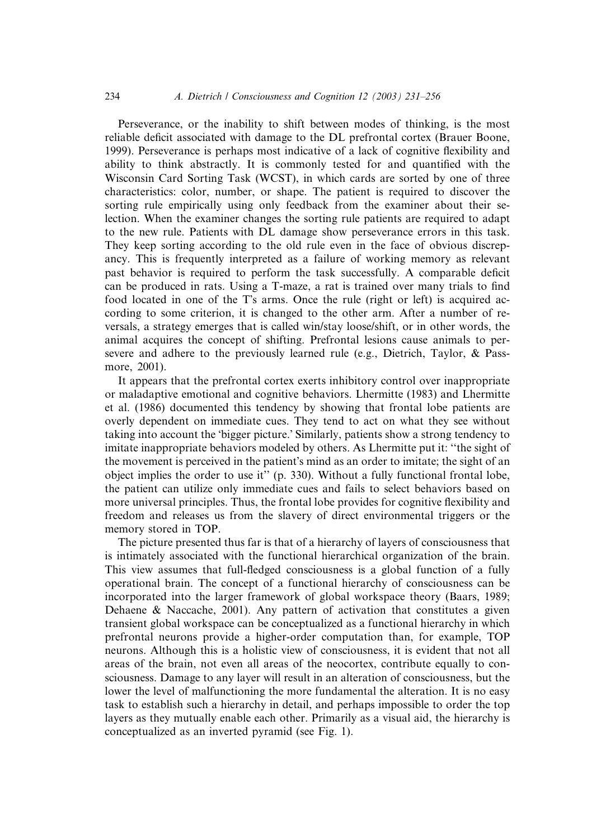Perseverance, or the inability to shift between modes of thinking, is the most reliable deficit associated with damage to the DL prefrontal cortex (Brauer Boone, 1999).Perseverance is perhaps most indicative of a lack of cognitive flexibility and ability to think abstractly.It is commonly tested for and quantified with the Wisconsin Card Sorting Task (WCST), in which cards are sorted by one of three characteristics: color, number, or shape.The patient is required to discover the sorting rule empirically using only feedback from the examiner about their selection.When the examiner changes the sorting rule patients are required to adapt to the new rule. Patients with DL damage show perseverance errors in this task. They keep sorting according to the old rule even in the face of obvious discrepancy.This is frequently interpreted as a failure of working memory as relevant past behavior is required to perform the task successfully.A comparable deficit can be produced in rats.Using a T-maze, a rat is trained over many trials to find food located in one of the T's arms. Once the rule (right or left) is acquired according to some criterion, it is changed to the other arm.After a number of reversals, a strategy emerges that is called win/stay loose/shift, or in other words, the animal acquires the concept of shifting. Prefrontal lesions cause animals to persevere and adhere to the previously learned rule (e.g., Dietrich, Taylor,  $\&$  Passmore, 2001).

It appears that the prefrontal cortex exerts inhibitory control over inappropriate or maladaptive emotional and cognitive behaviors.Lhermitte (1983) and Lhermitte et al.(1986) documented this tendency by showing that frontal lobe patients are overly dependent on immediate cues.They tend to act on what they see without taking into account the 'bigger picture.' Similarly, patients show a strong tendency to imitate inappropriate behaviors modeled by others. As Lhermitte put it: "the sight of the movement is perceived in the patient's mind as an order to imitate; the sight of an object implies the order to use it'' (p.330).Without a fully functional frontal lobe, the patient can utilize only immediate cues and fails to select behaviors based on more universal principles.Thus, the frontal lobe provides for cognitive flexibility and freedom and releases us from the slavery of direct environmental triggers or the memory stored in TOP.

The picture presented thus far is that of a hierarchy of layers of consciousness that is intimately associated with the functional hierarchical organization of the brain. This view assumes that full-fledged consciousness is a global function of a fully operational brain.The concept of a functional hierarchy of consciousness can be incorporated into the larger framework of global workspace theory (Baars, 1989; Dehaene & Naccache, 2001). Any pattern of activation that constitutes a given transient global workspace can be conceptualized as a functional hierarchy in which prefrontal neurons provide a higher-order computation than, for example, TOP neurons.Although this is a holistic view of consciousness, it is evident that not all areas of the brain, not even all areas of the neocortex, contribute equally to consciousness.Damage to any layer will result in an alteration of consciousness, but the lower the level of malfunctioning the more fundamental the alteration. It is no easy task to establish such a hierarchy in detail, and perhaps impossible to order the top layers as they mutually enable each other. Primarily as a visual aid, the hierarchy is conceptualized as an inverted pyramid (see Fig.1).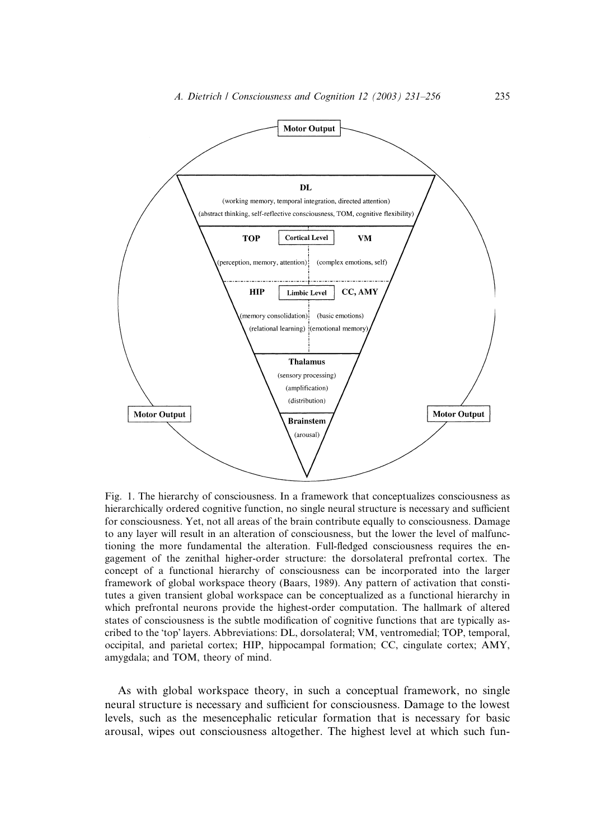

Fig.1.The hierarchy of consciousness.In a framework that conceptualizes consciousness as hierarchically ordered cognitive function, no single neural structure is necessary and sufficient for consciousness. Yet, not all areas of the brain contribute equally to consciousness. Damage to any layer will result in an alteration of consciousness, but the lower the level of malfunctioning the more fundamental the alteration. Full-fledged consciousness requires the engagement of the zenithal higher-order structure: the dorsolateral prefrontal cortex.The concept of a functional hierarchy of consciousness can be incorporated into the larger framework of global workspace theory (Baars, 1989).Any pattern of activation that constitutes a given transient global workspace can be conceptualized as a functional hierarchy in which prefrontal neurons provide the highest-order computation.The hallmark of altered states of consciousness is the subtle modification of cognitive functions that are typically ascribed to the 'top' layers. Abbreviations: DL, dorsolateral; VM, ventromedial; TOP, temporal, occipital, and parietal cortex; HIP, hippocampal formation; CC, cingulate cortex; AMY, amygdala; and TOM, theory of mind.

As with global workspace theory, in such a conceptual framework, no single neural structure is necessary and sufficient for consciousness.Damage to the lowest levels, such as the mesencephalic reticular formation that is necessary for basic arousal, wipes out consciousness altogether.The highest level at which such fun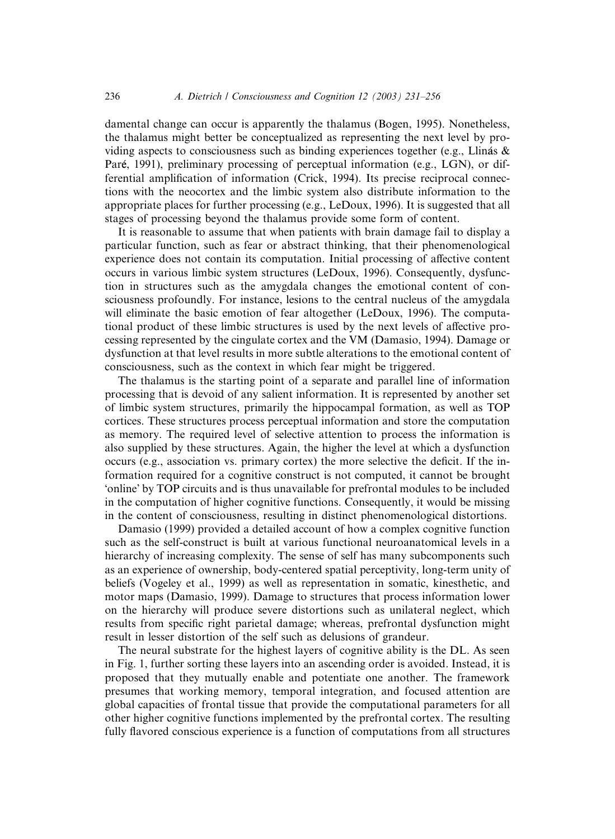damental change can occur is apparently the thalamus (Bogen, 1995). Nonetheless, the thalamus might better be conceptualized as representing the next level by providing aspects to consciousness such as binding experiences together (e.g., Llinás  $\&$ Paré, 1991), preliminary processing of perceptual information (e.g., LGN), or differential amplification of information (Crick, 1994). Its precise reciprocal connections with the neocortex and the limbic system also distribute information to the appropriate places for further processing (e.g., LeDoux, 1996). It is suggested that all stages of processing beyond the thalamus provide some form of content.

It is reasonable to assume that when patients with brain damage fail to display a particular function, such as fear or abstract thinking, that their phenomenological experience does not contain its computation.Initial processing of affective content occurs in various limbic system structures (LeDoux, 1996).Consequently, dysfunction in structures such as the amygdala changes the emotional content of consciousness profoundly. For instance, lesions to the central nucleus of the amygdala will eliminate the basic emotion of fear altogether (LeDoux, 1996). The computational product of these limbic structures is used by the next levels of affective processing represented by the cingulate cortex and the VM (Damasio, 1994). Damage or dysfunction at that level results in more subtle alterations to the emotional content of consciousness, such as the context in which fear might be triggered.

The thalamus is the starting point of a separate and parallel line of information processing that is devoid of any salient information.It is represented by another set of limbic system structures, primarily the hippocampal formation, as well as TOP cortices.These structures process perceptual information and store the computation as memory.The required level of selective attention to process the information is also supplied by these structures.Again, the higher the level at which a dysfunction occurs (e.g., association vs. primary cortex) the more selective the deficit. If the information required for a cognitive construct is not computed, it cannot be brought online' by TOP circuits and is thus unavailable for prefrontal modules to be included in the computation of higher cognitive functions.Consequently, it would be missing in the content of consciousness, resulting in distinct phenomenological distortions.

Damasio (1999) provided a detailed account of how a complex cognitive function such as the self-construct is built at various functional neuroanatomical levels in a hierarchy of increasing complexity. The sense of self has many subcomponents such as an experience of ownership, body-centered spatial perceptivity, long-term unity of beliefs (Vogeley et al., 1999) as well as representation in somatic, kinesthetic, and motor maps (Damasio, 1999). Damage to structures that process information lower on the hierarchy will produce severe distortions such as unilateral neglect, which results from specific right parietal damage; whereas, prefrontal dysfunction might result in lesser distortion of the self such as delusions of grandeur.

The neural substrate for the highest layers of cognitive ability is the DL.As seen in Fig. 1, further sorting these layers into an ascending order is avoided. Instead, it is proposed that they mutually enable and potentiate one another.The framework presumes that working memory, temporal integration, and focused attention are global capacities of frontal tissue that provide the computational parameters for all other higher cognitive functions implemented by the prefrontal cortex.The resulting fully flavored conscious experience is a function of computations from all structures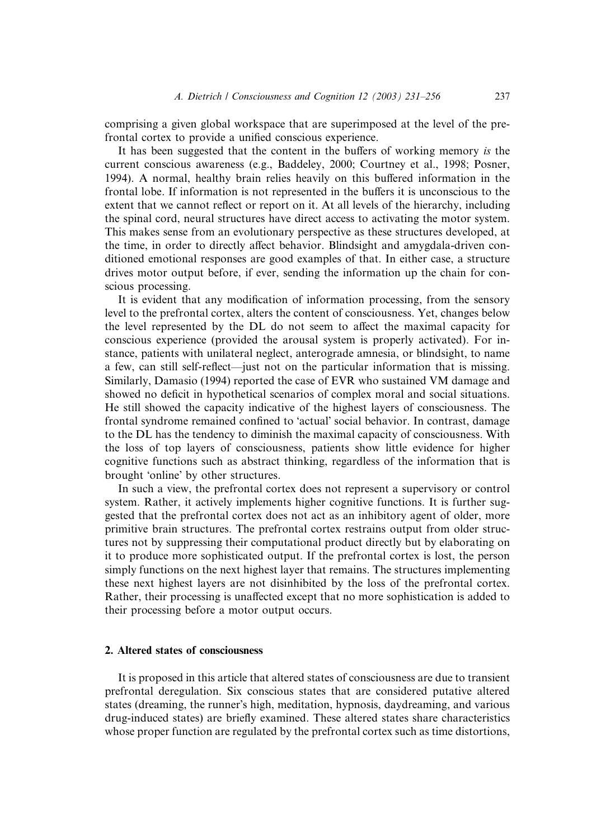comprising a given global workspace that are superimposed at the level of the prefrontal cortex to provide a unified conscious experience.

It has been suggested that the content in the buffers of working memory is the current conscious awareness (e.g., Baddeley, 2000; Courtney et al., 1998; Posner, 1994).A normal, healthy brain relies heavily on this buffered information in the frontal lobe.If information is not represented in the buffers it is unconscious to the extent that we cannot reflect or report on it.At all levels of the hierarchy, including the spinal cord, neural structures have direct access to activating the motor system. This makes sense from an evolutionary perspective as these structures developed, at the time, in order to directly affect behavior.Blindsight and amygdala-driven conditioned emotional responses are good examples of that.In either case, a structure drives motor output before, if ever, sending the information up the chain for conscious processing.

It is evident that any modification of information processing, from the sensory level to the prefrontal cortex, alters the content of consciousness.Yet, changes below the level represented by the DL do not seem to affect the maximal capacity for conscious experience (provided the arousal system is properly activated).For instance, patients with unilateral neglect, anterograde amnesia, or blindsight, to name a few, can still self-reflect—just not on the particular information that is missing. Similarly, Damasio (1994) reported the case of EVR who sustained VM damage and showed no deficit in hypothetical scenarios of complex moral and social situations. He still showed the capacity indicative of the highest layers of consciousness.The frontal syndrome remained confined to 'actual' social behavior. In contrast, damage to the DL has the tendency to diminish the maximal capacity of consciousness.With the loss of top layers of consciousness, patients show little evidence for higher cognitive functions such as abstract thinking, regardless of the information that is brought 'online' by other structures.

In such a view, the prefrontal cortex does not represent a supervisory or control system. Rather, it actively implements higher cognitive functions. It is further suggested that the prefrontal cortex does not act as an inhibitory agent of older, more primitive brain structures.The prefrontal cortex restrains output from older structures not by suppressing their computational product directly but by elaborating on it to produce more sophisticated output.If the prefrontal cortex is lost, the person simply functions on the next highest layer that remains.The structures implementing these next highest layers are not disinhibited by the loss of the prefrontal cortex. Rather, their processing is unaffected except that no more sophistication is added to their processing before a motor output occurs.

## 2. Altered states of consciousness

It is proposed in this article that altered states of consciousness are due to transient prefrontal deregulation.Six conscious states that are considered putative altered states (dreaming, the runner's high, meditation, hypnosis, daydreaming, and various drug-induced states) are briefly examined.These altered states share characteristics whose proper function are regulated by the prefrontal cortex such as time distortions,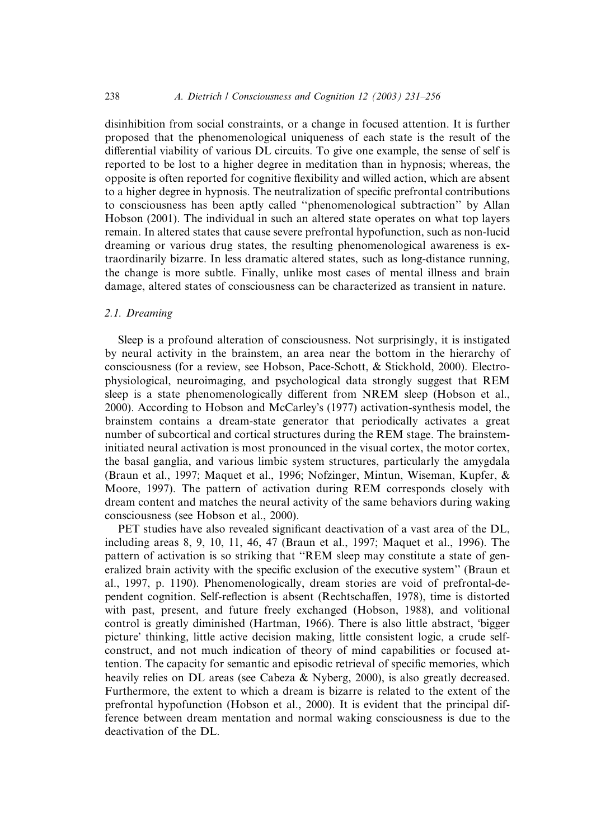disinhibition from social constraints, or a change in focused attention.It is further proposed that the phenomenological uniqueness of each state is the result of the differential viability of various DL circuits.To give one example, the sense of self is reported to be lost to a higher degree in meditation than in hypnosis; whereas, the opposite is often reported for cognitive flexibility and willed action, which are absent to a higher degree in hypnosis.The neutralization of specific prefrontal contributions to consciousness has been aptly called ''phenomenological subtraction'' by Allan Hobson (2001). The individual in such an altered state operates on what top layers remain.In altered states that cause severe prefrontal hypofunction, such as non-lucid dreaming or various drug states, the resulting phenomenological awareness is extraordinarily bizarre.In less dramatic altered states, such as long-distance running, the change is more subtle.Finally, unlike most cases of mental illness and brain damage, altered states of consciousness can be characterized as transient in nature.

#### 2.1. Dreaming

Sleep is a profound alteration of consciousness.Not surprisingly, it is instigated by neural activity in the brainstem, an area near the bottom in the hierarchy of consciousness (for a review, see Hobson, Pace-Schott, & Stickhold, 2000). Electrophysiological, neuroimaging, and psychological data strongly suggest that REM sleep is a state phenomenologically different from NREM sleep (Hobson et al., 2000).According to Hobson and McCarleys (1977) activation-synthesis model, the brainstem contains a dream-state generator that periodically activates a great number of subcortical and cortical structures during the REM stage. The brainsteminitiated neural activation is most pronounced in the visual cortex, the motor cortex, the basal ganglia, and various limbic system structures, particularly the amygdala (Braun et al., 1997; Maquet et al., 1996; Nofzinger, Mintun, Wiseman, Kupfer, & Moore, 1997). The pattern of activation during REM corresponds closely with dream content and matches the neural activity of the same behaviors during waking consciousness (see Hobson et al., 2000).

PET studies have also revealed significant deactivation of a vast area of the DL, including areas 8, 9, 10, 11, 46, 47 (Braun et al., 1997; Maquet et al., 1996). The pattern of activation is so striking that ''REM sleep may constitute a state of generalized brain activity with the specific exclusion of the executive system'' (Braun et al., 1997, p. 1190). Phenomenologically, dream stories are void of prefrontal-dependent cognition. Self-reflection is absent (Rechtschaffen, 1978), time is distorted with past, present, and future freely exchanged (Hobson, 1988), and volitional control is greatly diminished (Hartman, 1966). There is also little abstract, 'bigger picture' thinking, little active decision making, little consistent logic, a crude selfconstruct, and not much indication of theory of mind capabilities or focused attention.The capacity for semantic and episodic retrieval of specific memories, which heavily relies on DL areas (see Cabeza & Nyberg, 2000), is also greatly decreased. Furthermore, the extent to which a dream is bizarre is related to the extent of the prefrontal hypofunction (Hobson et al., 2000). It is evident that the principal difference between dream mentation and normal waking consciousness is due to the deactivation of the DL.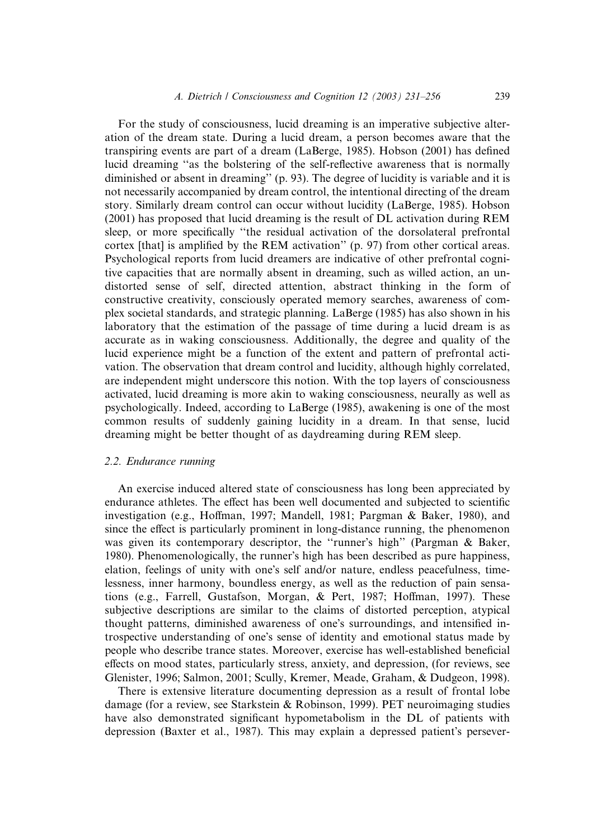For the study of consciousness, lucid dreaming is an imperative subjective alteration of the dream state.During a lucid dream, a person becomes aware that the transpiring events are part of a dream (LaBerge, 1985). Hobson (2001) has defined lucid dreaming ''as the bolstering of the self-reflective awareness that is normally diminished or absent in dreaming" (p. 93). The degree of lucidity is variable and it is not necessarily accompanied by dream control, the intentional directing of the dream story.Similarly dream control can occur without lucidity (LaBerge, 1985).Hobson (2001) has proposed that lucid dreaming is the result of DL activation during REM sleep, or more specifically ''the residual activation of the dorsolateral prefrontal cortex [that] is amplified by the REM activation'' (p.97) from other cortical areas. Psychological reports from lucid dreamers are indicative of other prefrontal cognitive capacities that are normally absent in dreaming, such as willed action, an undistorted sense of self, directed attention, abstract thinking in the form of constructive creativity, consciously operated memory searches, awareness of complex societal standards, and strategic planning.LaBerge (1985) has also shown in his laboratory that the estimation of the passage of time during a lucid dream is as accurate as in waking consciousness.Additionally, the degree and quality of the lucid experience might be a function of the extent and pattern of prefrontal activation.The observation that dream control and lucidity, although highly correlated, are independent might underscore this notion.With the top layers of consciousness activated, lucid dreaming is more akin to waking consciousness, neurally as well as psychologically.Indeed, according to LaBerge (1985), awakening is one of the most common results of suddenly gaining lucidity in a dream.In that sense, lucid dreaming might be better thought of as daydreaming during REM sleep.

#### 2.2. Endurance running

An exercise induced altered state of consciousness has long been appreciated by endurance athletes.The effect has been well documented and subjected to scientific investigation (e.g., Hoffman, 1997; Mandell, 1981; Pargman & Baker, 1980), and since the effect is particularly prominent in long-distance running, the phenomenon was given its contemporary descriptor, the "runner's high" (Pargman & Baker, 1980). Phenomenologically, the runner's high has been described as pure happiness, elation, feelings of unity with one's self and/or nature, endless peacefulness, timelessness, inner harmony, boundless energy, as well as the reduction of pain sensations (e.g., Farrell, Gustafson, Morgan, & Pert, 1987; Hoffman, 1997). These subjective descriptions are similar to the claims of distorted perception, atypical thought patterns, diminished awareness of ones surroundings, and intensified introspective understanding of ones sense of identity and emotional status made by people who describe trance states.Moreover, exercise has well-established beneficial effects on mood states, particularly stress, anxiety, and depression, (for reviews, see Glenister, 1996; Salmon, 2001; Scully, Kremer, Meade, Graham, & Dudgeon, 1998).

There is extensive literature documenting depression as a result of frontal lobe damage (for a review, see Starkstein & Robinson, 1999). PET neuroimaging studies have also demonstrated significant hypometabolism in the DL of patients with depression (Baxter et al., 1987). This may explain a depressed patient's persever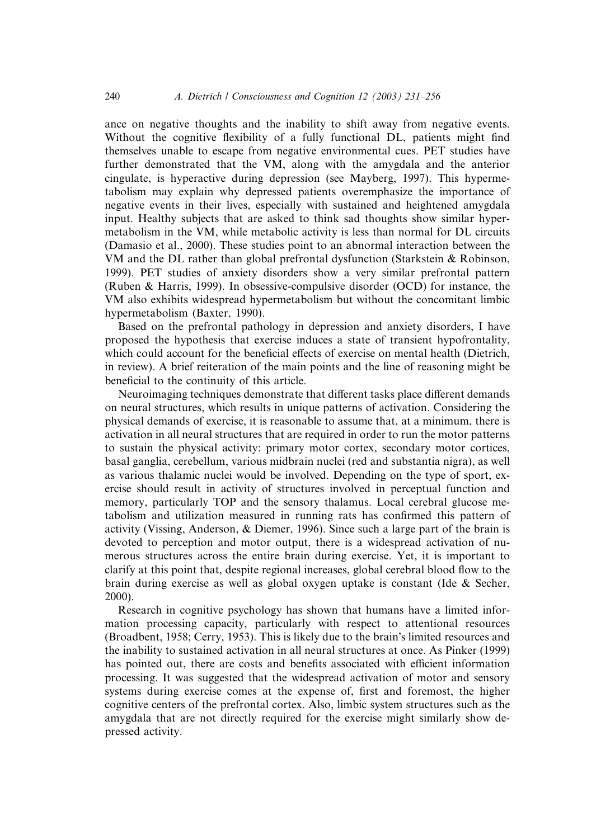ance on negative thoughts and the inability to shift away from negative events. Without the cognitive flexibility of a fully functional DL, patients might find themselves unable to escape from negative environmental cues. PET studies have further demonstrated that the VM, along with the amygdala and the anterior cingulate, is hyperactive during depression (see Mayberg, 1997). This hypermetabolism may explain why depressed patients overemphasize the importance of negative events in their lives, especially with sustained and heightened amygdala input. Healthy subjects that are asked to think sad thoughts show similar hypermetabolism in the VM, while metabolic activity is less than normal for DL circuits (Damasio et al., 2000). These studies point to an abnormal interaction between the VM and the DL rather than global prefrontal dysfunction (Starkstein & Robinson, 1999).PET studies of anxiety disorders show a very similar prefrontal pattern (Ruben & Harris, 1999). In obsessive-compulsive disorder (OCD) for instance, the VM also exhibits widespread hypermetabolism but without the concomitant limbic hypermetabolism (Baxter, 1990).

Based on the prefrontal pathology in depression and anxiety disorders, I have proposed the hypothesis that exercise induces a state of transient hypofrontality, which could account for the beneficial effects of exercise on mental health (Dietrich, in review). A brief reiteration of the main points and the line of reasoning might be beneficial to the continuity of this article.

Neuroimaging techniques demonstrate that different tasks place different demands on neural structures, which results in unique patterns of activation.Considering the physical demands of exercise, it is reasonable to assume that, at a minimum, there is activation in all neural structures that are required in order to run the motor patterns to sustain the physical activity: primary motor cortex, secondary motor cortices, basal ganglia, cerebellum, various midbrain nuclei (red and substantia nigra), as well as various thalamic nuclei would be involved.Depending on the type of sport, exercise should result in activity of structures involved in perceptual function and memory, particularly TOP and the sensory thalamus. Local cerebral glucose metabolism and utilization measured in running rats has confirmed this pattern of activity (Vissing, Anderson,  $\&$  Diemer, 1996). Since such a large part of the brain is devoted to perception and motor output, there is a widespread activation of numerous structures across the entire brain during exercise.Yet, it is important to clarify at this point that, despite regional increases, global cerebral blood flow to the brain during exercise as well as global oxygen uptake is constant (Ide & Secher, 2000).

Research in cognitive psychology has shown that humans have a limited information processing capacity, particularly with respect to attentional resources (Broadbent, 1958; Cerry, 1953). This is likely due to the brain's limited resources and the inability to sustained activation in all neural structures at once.As Pinker (1999) has pointed out, there are costs and benefits associated with efficient information processing.It was suggested that the widespread activation of motor and sensory systems during exercise comes at the expense of, first and foremost, the higher cognitive centers of the prefrontal cortex.Also, limbic system structures such as the amygdala that are not directly required for the exercise might similarly show depressed activity.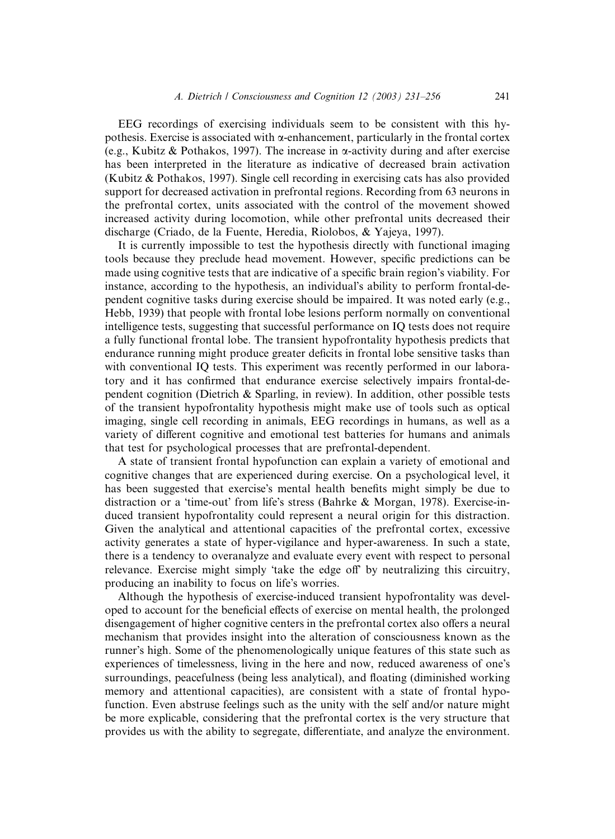EEG recordings of exercising individuals seem to be consistent with this hypothesis. Exercise is associated with  $\alpha$ -enhancement, particularly in the frontal cortex (e.g., Kubitz & Pothakos, 1997). The increase in  $\alpha$ -activity during and after exercise has been interpreted in the literature as indicative of decreased brain activation (Kubitz & Pothakos, 1997). Single cell recording in exercising cats has also provided support for decreased activation in prefrontal regions. Recording from 63 neurons in the prefrontal cortex, units associated with the control of the movement showed increased activity during locomotion, while other prefrontal units decreased their discharge (Criado, de la Fuente, Heredia, Riolobos, & Yajeya, 1997).

It is currently impossible to test the hypothesis directly with functional imaging tools because they preclude head movement.However, specific predictions can be made using cognitive tests that are indicative of a specific brain region's viability. For instance, according to the hypothesis, an individual's ability to perform frontal-dependent cognitive tasks during exercise should be impaired. It was noted early (e.g., Hebb, 1939) that people with frontal lobe lesions perform normally on conventional intelligence tests, suggesting that successful performance on IQ tests does not require a fully functional frontal lobe.The transient hypofrontality hypothesis predicts that endurance running might produce greater deficits in frontal lobe sensitive tasks than with conventional IQ tests. This experiment was recently performed in our laboratory and it has confirmed that endurance exercise selectively impairs frontal-dependent cognition (Dietrich  $\&$  Sparling, in review). In addition, other possible tests of the transient hypofrontality hypothesis might make use of tools such as optical imaging, single cell recording in animals, EEG recordings in humans, as well as a variety of different cognitive and emotional test batteries for humans and animals that test for psychological processes that are prefrontal-dependent.

A state of transient frontal hypofunction can explain a variety of emotional and cognitive changes that are experienced during exercise.On a psychological level, it has been suggested that exercise's mental health benefits might simply be due to distraction or a 'time-out' from life's stress (Bahrke & Morgan, 1978). Exercise-induced transient hypofrontality could represent a neural origin for this distraction. Given the analytical and attentional capacities of the prefrontal cortex, excessive activity generates a state of hyper-vigilance and hyper-awareness.In such a state, there is a tendency to overanalyze and evaluate every event with respect to personal relevance. Exercise might simply 'take the edge off' by neutralizing this circuitry, producing an inability to focus on life's worries.

Although the hypothesis of exercise-induced transient hypofrontality was developed to account for the beneficial effects of exercise on mental health, the prolonged disengagement of higher cognitive centers in the prefrontal cortex also offers a neural mechanism that provides insight into the alteration of consciousness known as the runner's high. Some of the phenomenologically unique features of this state such as experiences of timelessness, living in the here and now, reduced awareness of one's surroundings, peacefulness (being less analytical), and floating (diminished working memory and attentional capacities), are consistent with a state of frontal hypofunction. Even abstruse feelings such as the unity with the self and/or nature might be more explicable, considering that the prefrontal cortex is the very structure that provides us with the ability to segregate, differentiate, and analyze the environment.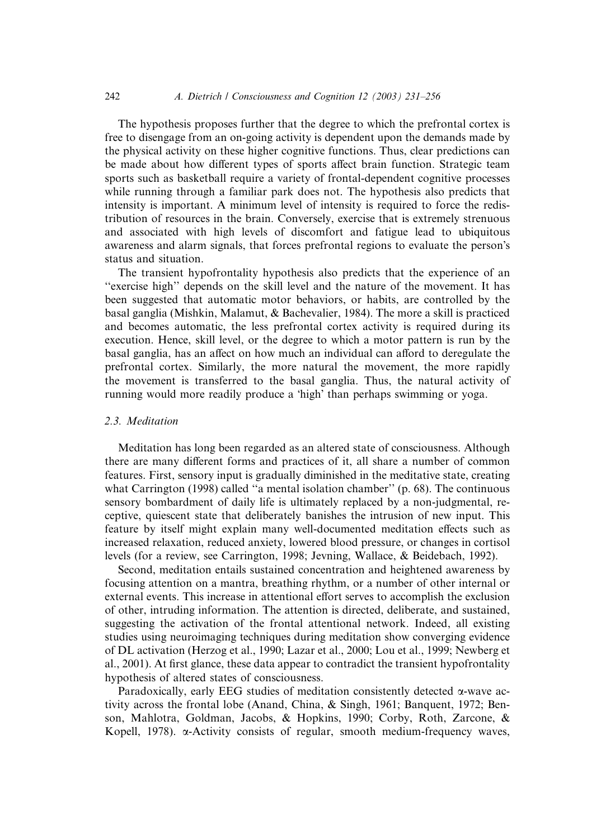The hypothesis proposes further that the degree to which the prefrontal cortex is free to disengage from an on-going activity is dependent upon the demands made by the physical activity on these higher cognitive functions.Thus, clear predictions can be made about how different types of sports affect brain function. Strategic team sports such as basketball require a variety of frontal-dependent cognitive processes while running through a familiar park does not. The hypothesis also predicts that intensity is important.A minimum level of intensity is required to force the redistribution of resources in the brain.Conversely, exercise that is extremely strenuous and associated with high levels of discomfort and fatigue lead to ubiquitous awareness and alarm signals, that forces prefrontal regions to evaluate the person's status and situation.

The transient hypofrontality hypothesis also predicts that the experience of an "exercise high" depends on the skill level and the nature of the movement. It has been suggested that automatic motor behaviors, or habits, are controlled by the basal ganglia (Mishkin, Malamut, & Bachevalier, 1984).The more a skill is practiced and becomes automatic, the less prefrontal cortex activity is required during its execution.Hence, skill level, or the degree to which a motor pattern is run by the basal ganglia, has an affect on how much an individual can afford to deregulate the prefrontal cortex.Similarly, the more natural the movement, the more rapidly the movement is transferred to the basal ganglia.Thus, the natural activity of running would more readily produce a 'high' than perhaps swimming or yoga.

## 2.3. Meditation

Meditation has long been regarded as an altered state of consciousness.Although there are many different forms and practices of it, all share a number of common features.First, sensory input is gradually diminished in the meditative state, creating what Carrington (1998) called "a mental isolation chamber" (p.  $68$ ). The continuous sensory bombardment of daily life is ultimately replaced by a non-judgmental, receptive, quiescent state that deliberately banishes the intrusion of new input.This feature by itself might explain many well-documented meditation effects such as increased relaxation, reduced anxiety, lowered blood pressure, or changes in cortisol levels (for a review, see Carrington, 1998; Jevning, Wallace, & Beidebach, 1992).

Second, meditation entails sustained concentration and heightened awareness by focusing attention on a mantra, breathing rhythm, or a number of other internal or external events.This increase in attentional effort serves to accomplish the exclusion of other, intruding information.The attention is directed, deliberate, and sustained, suggesting the activation of the frontal attentional network.Indeed, all existing studies using neuroimaging techniques during meditation show converging evidence of DL activation (Herzog et al., 1990; Lazar et al., 2000; Lou et al., 1999; Newberg et al., 2001). At first glance, these data appear to contradict the transient hypofrontality hypothesis of altered states of consciousness.

Paradoxically, early EEG studies of meditation consistently detected  $\alpha$ -wave activity across the frontal lobe (Anand, China, & Singh, 1961; Banquent, 1972; Benson, Mahlotra, Goldman, Jacobs, & Hopkins, 1990; Corby, Roth, Zarcone, & Kopell, 1978).  $\alpha$ -Activity consists of regular, smooth medium-frequency waves,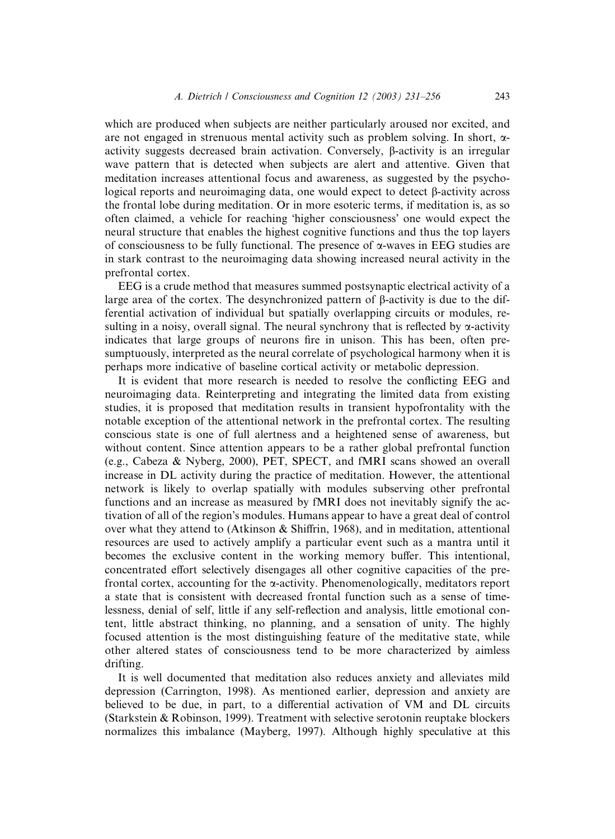which are produced when subjects are neither particularly aroused nor excited, and are not engaged in strenuous mental activity such as problem solving. In short,  $\alpha$ activity suggests decreased brain activation. Conversely,  $\beta$ -activity is an irregular wave pattern that is detected when subjects are alert and attentive.Given that meditation increases attentional focus and awareness, as suggested by the psychological reports and neuroimaging data, one would expect to detect  $\beta$ -activity across the frontal lobe during meditation.Or in more esoteric terms, if meditation is, as so often claimed, a vehicle for reaching 'higher consciousness' one would expect the neural structure that enables the highest cognitive functions and thus the top layers of consciousness to be fully functional. The presence of  $\alpha$ -waves in EEG studies are in stark contrast to the neuroimaging data showing increased neural activity in the prefrontal cortex.

EEG is a crude method that measures summed postsynaptic electrical activity of a large area of the cortex. The desynchronized pattern of  $\beta$ -activity is due to the differential activation of individual but spatially overlapping circuits or modules, resulting in a noisy, overall signal. The neural synchrony that is reflected by  $\alpha$ -activity indicates that large groups of neurons fire in unison. This has been, often presumptuously, interpreted as the neural correlate of psychological harmony when it is perhaps more indicative of baseline cortical activity or metabolic depression.

It is evident that more research is needed to resolve the conflicting EEG and neuroimaging data.Reinterpreting and integrating the limited data from existing studies, it is proposed that meditation results in transient hypofrontality with the notable exception of the attentional network in the prefrontal cortex. The resulting conscious state is one of full alertness and a heightened sense of awareness, but without content. Since attention appears to be a rather global prefrontal function (e.g., Cabeza & Nyberg, 2000), PET, SPECT, and fMRI scans showed an overall increase in DL activity during the practice of meditation.However, the attentional network is likely to overlap spatially with modules subserving other prefrontal functions and an increase as measured by fMRI does not inevitably signify the activation of all of the region's modules. Humans appear to have a great deal of control over what they attend to (Atkinson & Shiffrin, 1968), and in meditation, attentional resources are used to actively amplify a particular event such as a mantra until it becomes the exclusive content in the working memory buffer.This intentional, concentrated effort selectively disengages all other cognitive capacities of the prefrontal cortex, accounting for the  $\alpha$ -activity. Phenomenologically, meditators report a state that is consistent with decreased frontal function such as a sense of timelessness, denial of self, little if any self-reflection and analysis, little emotional content, little abstract thinking, no planning, and a sensation of unity.The highly focused attention is the most distinguishing feature of the meditative state, while other altered states of consciousness tend to be more characterized by aimless drifting.

It is well documented that meditation also reduces anxiety and alleviates mild depression (Carrington, 1998). As mentioned earlier, depression and anxiety are believed to be due, in part, to a differential activation of VM and DL circuits (Starkstein & Robinson, 1999). Treatment with selective serotonin reuptake blockers normalizes this imbalance (Mayberg, 1997). Although highly speculative at this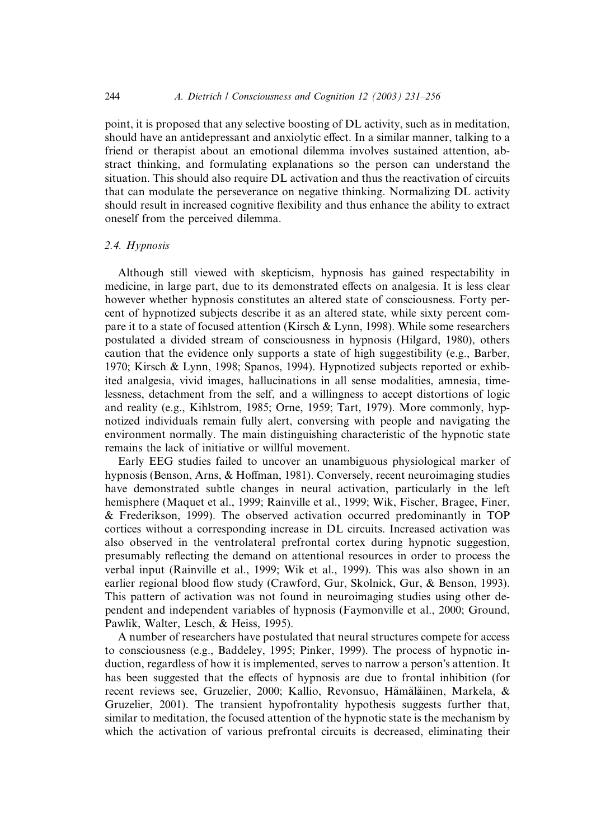point, it is proposed that any selective boosting of DL activity, such as in meditation, should have an antidepressant and anxiolytic effect.In a similar manner, talking to a friend or therapist about an emotional dilemma involves sustained attention, abstract thinking, and formulating explanations so the person can understand the situation.This should also require DL activation and thus the reactivation of circuits that can modulate the perseverance on negative thinking.Normalizing DL activity should result in increased cognitive flexibility and thus enhance the ability to extract oneself from the perceived dilemma.

## 2.4. Hypnosis

Although still viewed with skepticism, hypnosis has gained respectability in medicine, in large part, due to its demonstrated effects on analgesia.It is less clear however whether hypnosis constitutes an altered state of consciousness.Forty percent of hypnotized subjects describe it as an altered state, while sixty percent compare it to a state of focused attention (Kirsch & Lynn, 1998).While some researchers postulated a divided stream of consciousness in hypnosis (Hilgard, 1980), others caution that the evidence only supports a state of high suggestibility (e.g., Barber, 1970; Kirsch & Lynn, 1998; Spanos, 1994). Hypnotized subjects reported or exhibited analgesia, vivid images, hallucinations in all sense modalities, amnesia, timelessness, detachment from the self, and a willingness to accept distortions of logic and reality (e.g., Kihlstrom, 1985; Orne, 1959; Tart, 1979). More commonly, hypnotized individuals remain fully alert, conversing with people and navigating the environment normally. The main distinguishing characteristic of the hypnotic state remains the lack of initiative or willful movement.

Early EEG studies failed to uncover an unambiguous physiological marker of hypnosis (Benson, Arns, & Hoffman, 1981). Conversely, recent neuroimaging studies have demonstrated subtle changes in neural activation, particularly in the left hemisphere (Maquet et al., 1999; Rainville et al., 1999; Wik, Fischer, Bragee, Finer, & Frederikson, 1999).The observed activation occurred predominantly in TOP cortices without a corresponding increase in DL circuits.Increased activation was also observed in the ventrolateral prefrontal cortex during hypnotic suggestion, presumably reflecting the demand on attentional resources in order to process the verbal input (Rainville et al., 1999; Wik et al., 1999). This was also shown in an earlier regional blood flow study (Crawford, Gur, Skolnick, Gur, & Benson, 1993). This pattern of activation was not found in neuroimaging studies using other dependent and independent variables of hypnosis (Faymonville et al., 2000; Ground, Pawlik, Walter, Lesch, & Heiss, 1995).

A number of researchers have postulated that neural structures compete for access to consciousness (e.g., Baddeley, 1995; Pinker, 1999). The process of hypnotic induction, regardless of how it is implemented, serves to narrow a person's attention. It has been suggested that the effects of hypnosis are due to frontal inhibition (for recent reviews see, Gruzelier, 2000; Kallio, Revonsuo, Hämäläinen, Markela, & Gruzelier, 2001). The transient hypofrontality hypothesis suggests further that, similar to meditation, the focused attention of the hypnotic state is the mechanism by which the activation of various prefrontal circuits is decreased, eliminating their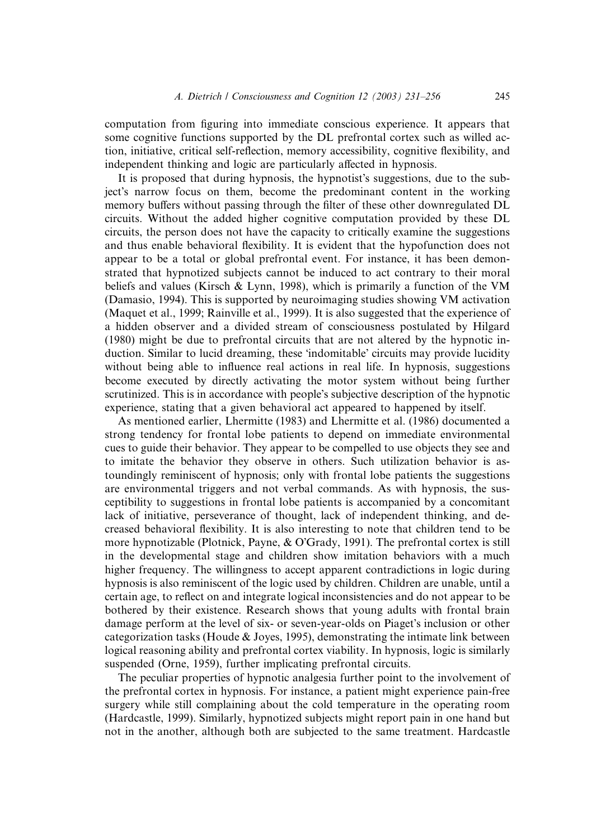computation from figuring into immediate conscious experience.It appears that some cognitive functions supported by the DL prefrontal cortex such as willed action, initiative, critical self-reflection, memory accessibility, cognitive flexibility, and independent thinking and logic are particularly affected in hypnosis.

It is proposed that during hypnosis, the hypnotist's suggestions, due to the subject's narrow focus on them, become the predominant content in the working memory buffers without passing through the filter of these other downregulated DL circuits.Without the added higher cognitive computation provided by these DL circuits, the person does not have the capacity to critically examine the suggestions and thus enable behavioral flexibility.It is evident that the hypofunction does not appear to be a total or global prefrontal event.For instance, it has been demonstrated that hypnotized subjects cannot be induced to act contrary to their moral beliefs and values (Kirsch & Lynn, 1998), which is primarily a function of the VM (Damasio, 1994). This is supported by neuroimaging studies showing VM activation (Maquet et al., 1999; Rainville et al., 1999). It is also suggested that the experience of a hidden observer and a divided stream of consciousness postulated by Hilgard (1980) might be due to prefrontal circuits that are not altered by the hypnotic induction. Similar to lucid dreaming, these 'indomitable' circuits may provide lucidity without being able to influence real actions in real life. In hypnosis, suggestions become executed by directly activating the motor system without being further scrutinized. This is in accordance with people's subjective description of the hypnotic experience, stating that a given behavioral act appeared to happened by itself.

As mentioned earlier, Lhermitte (1983) and Lhermitte et al.(1986) documented a strong tendency for frontal lobe patients to depend on immediate environmental cues to guide their behavior.They appear to be compelled to use objects they see and to imitate the behavior they observe in others. Such utilization behavior is astoundingly reminiscent of hypnosis; only with frontal lobe patients the suggestions are environmental triggers and not verbal commands.As with hypnosis, the susceptibility to suggestions in frontal lobe patients is accompanied by a concomitant lack of initiative, perseverance of thought, lack of independent thinking, and decreased behavioral flexibility.It is also interesting to note that children tend to be more hypnotizable (Plotnick, Payne,  $& O'Grady$ , 1991). The prefrontal cortex is still in the developmental stage and children show imitation behaviors with a much higher frequency. The willingness to accept apparent contradictions in logic during hypnosis is also reminiscent of the logic used by children.Children are unable, until a certain age, to reflect on and integrate logical inconsistencies and do not appear to be bothered by their existence. Research shows that young adults with frontal brain damage perform at the level of six- or seven-year-olds on Piaget's inclusion or other categorization tasks (Houde  $&$  Joyes, 1995), demonstrating the intimate link between logical reasoning ability and prefrontal cortex viability.In hypnosis, logic is similarly suspended (Orne, 1959), further implicating prefrontal circuits.

The peculiar properties of hypnotic analgesia further point to the involvement of the prefrontal cortex in hypnosis.For instance, a patient might experience pain-free surgery while still complaining about the cold temperature in the operating room (Hardcastle, 1999).Similarly, hypnotized subjects might report pain in one hand but not in the another, although both are subjected to the same treatment.Hardcastle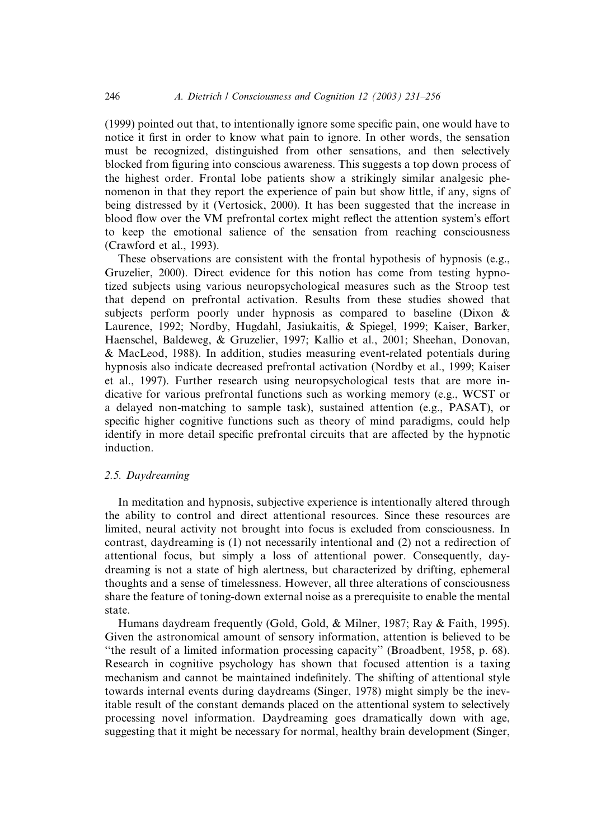(1999) pointed out that, to intentionally ignore some specific pain, one would have to notice it first in order to know what pain to ignore.In other words, the sensation must be recognized, distinguished from other sensations, and then selectively blocked from figuring into conscious awareness.This suggests a top down process of the highest order.Frontal lobe patients show a strikingly similar analgesic phenomenon in that they report the experience of pain but show little, if any, signs of being distressed by it (Vertosick, 2000). It has been suggested that the increase in blood flow over the VM prefrontal cortex might reflect the attention system's effort to keep the emotional salience of the sensation from reaching consciousness (Crawford et al., 1993).

These observations are consistent with the frontal hypothesis of hypnosis (e.g., Gruzelier, 2000). Direct evidence for this notion has come from testing hypnotized subjects using various neuropsychological measures such as the Stroop test that depend on prefrontal activation.Results from these studies showed that subjects perform poorly under hypnosis as compared to baseline (Dixon & Laurence, 1992; Nordby, Hugdahl, Jasiukaitis, & Spiegel, 1999; Kaiser, Barker, Haenschel, Baldeweg, & Gruzelier, 1997; Kallio et al., 2001; Sheehan, Donovan, & MacLeod, 1988).In addition, studies measuring event-related potentials during hypnosis also indicate decreased prefrontal activation (Nordby et al., 1999; Kaiser et al., 1997). Further research using neuropsychological tests that are more indicative for various prefrontal functions such as working memory (e.g., WCST or a delayed non-matching to sample task), sustained attention (e.g., PASAT), or specific higher cognitive functions such as theory of mind paradigms, could help identify in more detail specific prefrontal circuits that are affected by the hypnotic induction.

## 2.5. Daydreaming

In meditation and hypnosis, subjective experience is intentionally altered through the ability to control and direct attentional resources. Since these resources are limited, neural activity not brought into focus is excluded from consciousness.In contrast, daydreaming is (1) not necessarily intentional and (2) not a redirection of attentional focus, but simply a loss of attentional power.Consequently, daydreaming is not a state of high alertness, but characterized by drifting, ephemeral thoughts and a sense of timelessness.However, all three alterations of consciousness share the feature of toning-down external noise as a prerequisite to enable the mental state.

Humans daydream frequently (Gold, Gold, & Milner, 1987; Ray & Faith, 1995). Given the astronomical amount of sensory information, attention is believed to be ''the result of a limited information processing capacity'' (Broadbent, 1958, p.68). Research in cognitive psychology has shown that focused attention is a taxing mechanism and cannot be maintained indefinitely.The shifting of attentional style towards internal events during daydreams (Singer, 1978) might simply be the inevitable result of the constant demands placed on the attentional system to selectively processing novel information.Daydreaming goes dramatically down with age, suggesting that it might be necessary for normal, healthy brain development (Singer,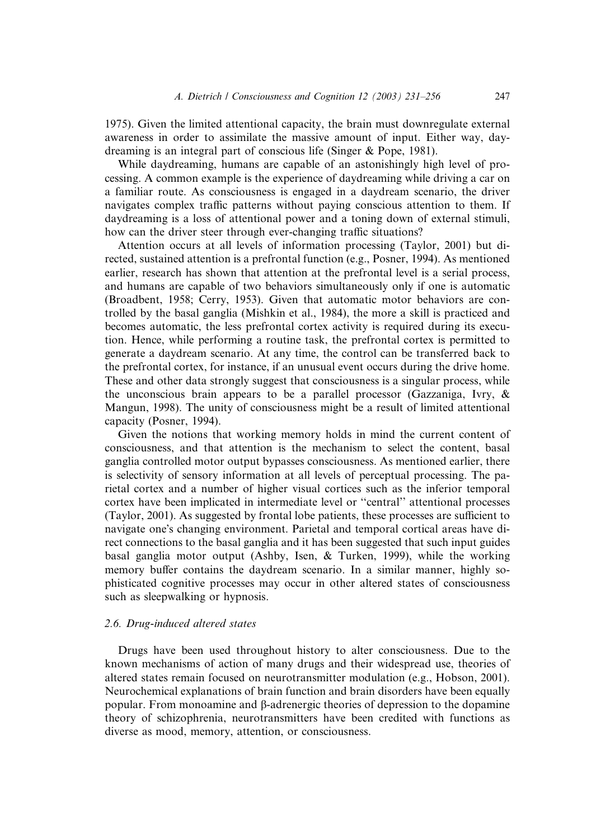1975).Given the limited attentional capacity, the brain must downregulate external awareness in order to assimilate the massive amount of input.Either way, daydreaming is an integral part of conscious life (Singer & Pope, 1981).

While daydreaming, humans are capable of an astonishingly high level of processing.A common example is the experience of daydreaming while driving a car on a familiar route.As consciousness is engaged in a daydream scenario, the driver navigates complex traffic patterns without paying conscious attention to them.If daydreaming is a loss of attentional power and a toning down of external stimuli, how can the driver steer through ever-changing traffic situations?

Attention occurs at all levels of information processing (Taylor, 2001) but directed, sustained attention is a prefrontal function (e.g., Posner, 1994). As mentioned earlier, research has shown that attention at the prefrontal level is a serial process, and humans are capable of two behaviors simultaneously only if one is automatic (Broadbent, 1958; Cerry, 1953).Given that automatic motor behaviors are controlled by the basal ganglia (Mishkin et al., 1984), the more a skill is practiced and becomes automatic, the less prefrontal cortex activity is required during its execution.Hence, while performing a routine task, the prefrontal cortex is permitted to generate a daydream scenario.At any time, the control can be transferred back to the prefrontal cortex, for instance, if an unusual event occurs during the drive home. These and other data strongly suggest that consciousness is a singular process, while the unconscious brain appears to be a parallel processor (Gazzaniga, Ivry, & Mangun, 1998). The unity of consciousness might be a result of limited attentional capacity (Posner, 1994).

Given the notions that working memory holds in mind the current content of consciousness, and that attention is the mechanism to select the content, basal ganglia controlled motor output bypasses consciousness.As mentioned earlier, there is selectivity of sensory information at all levels of perceptual processing.The parietal cortex and a number of higher visual cortices such as the inferior temporal cortex have been implicated in intermediate level or ''central'' attentional processes (Taylor, 2001).As suggested by frontal lobe patients, these processes are sufficient to navigate one's changing environment. Parietal and temporal cortical areas have direct connections to the basal ganglia and it has been suggested that such input guides basal ganglia motor output (Ashby, Isen, & Turken, 1999), while the working memory buffer contains the daydream scenario. In a similar manner, highly sophisticated cognitive processes may occur in other altered states of consciousness such as sleepwalking or hypnosis.

## 2.6. Drug-induced altered states

Drugs have been used throughout history to alter consciousness. Due to the known mechanisms of action of many drugs and their widespread use, theories of altered states remain focused on neurotransmitter modulation (e.g., Hobson, 2001). Neurochemical explanations of brain function and brain disorders have been equally popular. From monoamine and  $\beta$ -adrenergic theories of depression to the dopamine theory of schizophrenia, neurotransmitters have been credited with functions as diverse as mood, memory, attention, or consciousness.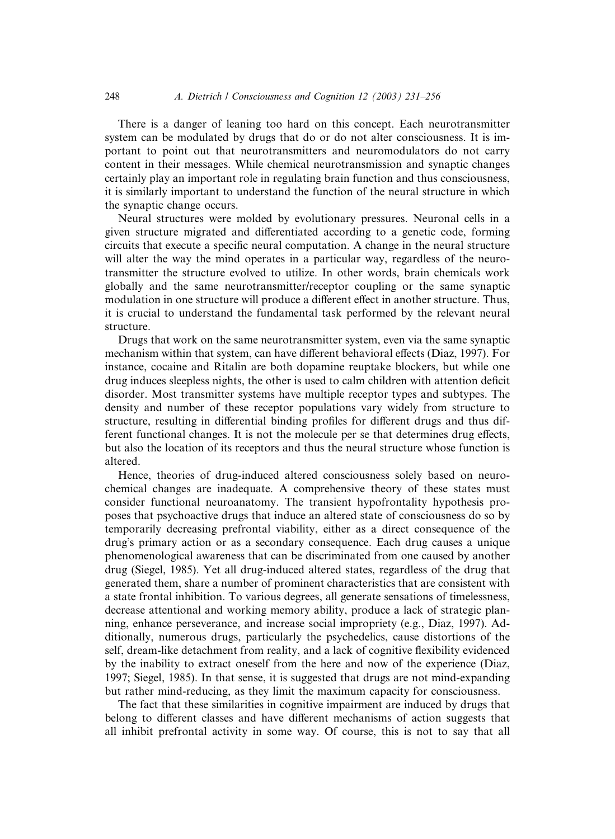There is a danger of leaning too hard on this concept.Each neurotransmitter system can be modulated by drugs that do or do not alter consciousness. It is important to point out that neurotransmitters and neuromodulators do not carry content in their messages.While chemical neurotransmission and synaptic changes certainly play an important role in regulating brain function and thus consciousness, it is similarly important to understand the function of the neural structure in which the synaptic change occurs.

Neural structures were molded by evolutionary pressures. Neuronal cells in a given structure migrated and differentiated according to a genetic code, forming circuits that execute a specific neural computation.A change in the neural structure will alter the way the mind operates in a particular way, regardless of the neurotransmitter the structure evolved to utilize.In other words, brain chemicals work globally and the same neurotransmitter/receptor coupling or the same synaptic modulation in one structure will produce a different effect in another structure.Thus, it is crucial to understand the fundamental task performed by the relevant neural structure.

Drugs that work on the same neurotransmitter system, even via the same synaptic mechanism within that system, can have different behavioral effects (Diaz, 1997). For instance, cocaine and Ritalin are both dopamine reuptake blockers, but while one drug induces sleepless nights, the other is used to calm children with attention deficit disorder. Most transmitter systems have multiple receptor types and subtypes. The density and number of these receptor populations vary widely from structure to structure, resulting in differential binding profiles for different drugs and thus different functional changes.It is not the molecule per se that determines drug effects, but also the location of its receptors and thus the neural structure whose function is altered.

Hence, theories of drug-induced altered consciousness solely based on neurochemical changes are inadequate.A comprehensive theory of these states must consider functional neuroanatomy.The transient hypofrontality hypothesis proposes that psychoactive drugs that induce an altered state of consciousness do so by temporarily decreasing prefrontal viability, either as a direct consequence of the drug's primary action or as a secondary consequence. Each drug causes a unique phenomenological awareness that can be discriminated from one caused by another drug (Siegel, 1985).Yet all drug-induced altered states, regardless of the drug that generated them, share a number of prominent characteristics that are consistent with a state frontal inhibition.To various degrees, all generate sensations of timelessness, decrease attentional and working memory ability, produce a lack of strategic planning, enhance perseverance, and increase social impropriety (e.g., Diaz, 1997). Additionally, numerous drugs, particularly the psychedelics, cause distortions of the self, dream-like detachment from reality, and a lack of cognitive flexibility evidenced by the inability to extract oneself from the here and now of the experience (Diaz, 1997; Siegel, 1985).In that sense, it is suggested that drugs are not mind-expanding but rather mind-reducing, as they limit the maximum capacity for consciousness.

The fact that these similarities in cognitive impairment are induced by drugs that belong to different classes and have different mechanisms of action suggests that all inhibit prefrontal activity in some way.Of course, this is not to say that all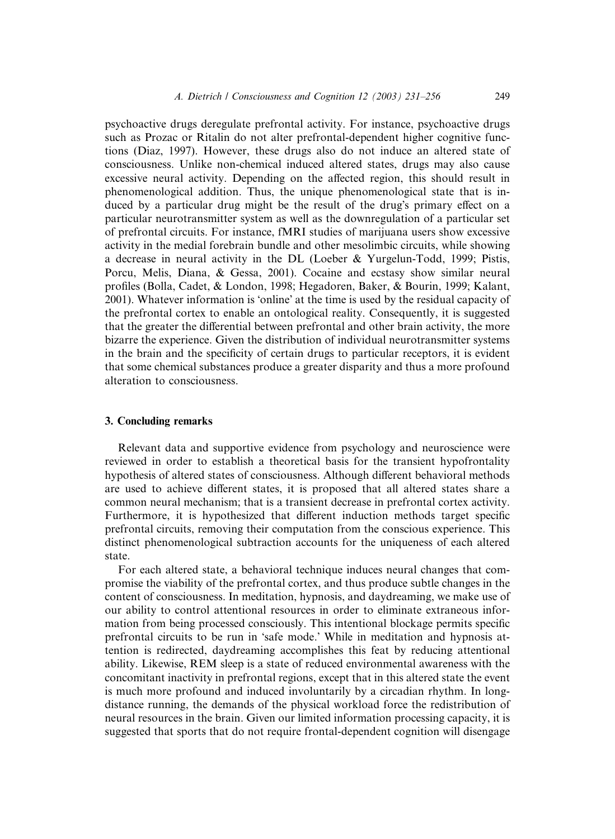psychoactive drugs deregulate prefrontal activity.For instance, psychoactive drugs such as Prozac or Ritalin do not alter prefrontal-dependent higher cognitive functions (Diaz, 1997). However, these drugs also do not induce an altered state of consciousness.Unlike non-chemical induced altered states, drugs may also cause excessive neural activity. Depending on the affected region, this should result in phenomenological addition.Thus, the unique phenomenological state that is induced by a particular drug might be the result of the drug's primary effect on a particular neurotransmitter system as well as the downregulation of a particular set of prefrontal circuits.For instance, fMRI studies of marijuana users show excessive activity in the medial forebrain bundle and other mesolimbic circuits, while showing a decrease in neural activity in the DL (Loeber & Yurgelun-Todd, 1999; Pistis, Porcu, Melis, Diana, & Gessa, 2001). Cocaine and ecstasy show similar neural profiles (Bolla, Cadet, & London, 1998; Hegadoren, Baker, & Bourin, 1999; Kalant, 2001). Whatever information is 'online' at the time is used by the residual capacity of the prefrontal cortex to enable an ontological reality.Consequently, it is suggested that the greater the differential between prefrontal and other brain activity, the more bizarre the experience.Given the distribution of individual neurotransmitter systems in the brain and the specificity of certain drugs to particular receptors, it is evident that some chemical substances produce a greater disparity and thus a more profound alteration to consciousness.

## 3. Concluding remarks

Relevant data and supportive evidence from psychology and neuroscience were reviewed in order to establish a theoretical basis for the transient hypofrontality hypothesis of altered states of consciousness.Although different behavioral methods are used to achieve different states, it is proposed that all altered states share a common neural mechanism; that is a transient decrease in prefrontal cortex activity. Furthermore, it is hypothesized that different induction methods target specific prefrontal circuits, removing their computation from the conscious experience.This distinct phenomenological subtraction accounts for the uniqueness of each altered state.

For each altered state, a behavioral technique induces neural changes that compromise the viability of the prefrontal cortex, and thus produce subtle changes in the content of consciousness.In meditation, hypnosis, and daydreaming, we make use of our ability to control attentional resources in order to eliminate extraneous information from being processed consciously.This intentional blockage permits specific prefrontal circuits to be run in 'safe mode.' While in meditation and hypnosis attention is redirected, daydreaming accomplishes this feat by reducing attentional ability. Likewise, REM sleep is a state of reduced environmental awareness with the concomitant inactivity in prefrontal regions, except that in this altered state the event is much more profound and induced involuntarily by a circadian rhythm. In longdistance running, the demands of the physical workload force the redistribution of neural resources in the brain.Given our limited information processing capacity, it is suggested that sports that do not require frontal-dependent cognition will disengage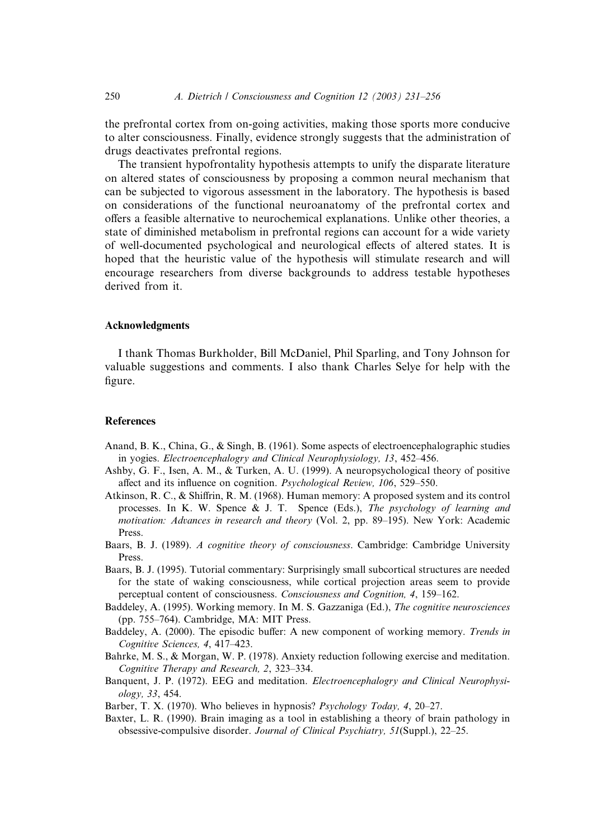the prefrontal cortex from on-going activities, making those sports more conducive to alter consciousness.Finally, evidence strongly suggests that the administration of drugs deactivates prefrontal regions.

The transient hypofrontality hypothesis attempts to unify the disparate literature on altered states of consciousness by proposing a common neural mechanism that can be subjected to vigorous assessment in the laboratory.The hypothesis is based on considerations of the functional neuroanatomy of the prefrontal cortex and offers a feasible alternative to neurochemical explanations.Unlike other theories, a state of diminished metabolism in prefrontal regions can account for a wide variety of well-documented psychological and neurological effects of altered states.It is hoped that the heuristic value of the hypothesis will stimulate research and will encourage researchers from diverse backgrounds to address testable hypotheses derived from it.

## Acknowledgments

I thank Thomas Burkholder, Bill McDaniel, Phil Sparling, and Tony Johnson for valuable suggestions and comments.I also thank Charles Selye for help with the figure.

#### References

- Anand, B. K., China, G., & Singh, B. (1961). Some aspects of electroencephalographic studies in yogies. Electroencephalogry and Clinical Neurophysiology, 13, 452–456.
- Ashby, G. F., Isen, A. M., & Turken, A. U. (1999). A neuropsychological theory of positive affect and its influence on cognition. Psychological Review, 106, 529–550.
- Atkinson, R. C., & Shiffrin, R. M. (1968). Human memory: A proposed system and its control processes. In K. W. Spence & J. T. Spence (Eds.), The psychology of learning and motivation: Advances in research and theory (Vol. 2, pp. 89-195). New York: Academic Press.
- Baars, B. J. (1989). A cognitive theory of consciousness. Cambridge: Cambridge University Press.
- Baars, B.J.(1995).Tutorial commentary: Surprisingly small subcortical structures are needed for the state of waking consciousness, while cortical projection areas seem to provide perceptual content of consciousness. Consciousness and Cognition, 4, 159–162.
- Baddeley, A. (1995). Working memory. In M. S. Gazzaniga (Ed.), *The cognitive neurosciences* (pp. 755–764). Cambridge, MA: MIT Press.
- Baddeley, A. (2000). The episodic buffer: A new component of working memory. Trends in Cognitive Sciences, 4, 417–423.
- Bahrke, M.S., & Morgan, W.P.(1978).Anxiety reduction following exercise and meditation. Cognitive Therapy and Research, 2, 323–334.
- Banquent, J. P. (1972). EEG and meditation. *Electroencephalogry and Clinical Neurophysi*ology, 33, 454.
- Barber, T. X. (1970). Who believes in hypnosis? *Psychology Today*, 4, 20–27.
- Baxter, L. R. (1990). Brain imaging as a tool in establishing a theory of brain pathology in obsessive-compulsive disorder. Journal of Clinical Psychiatry, 51(Suppl.), 22–25.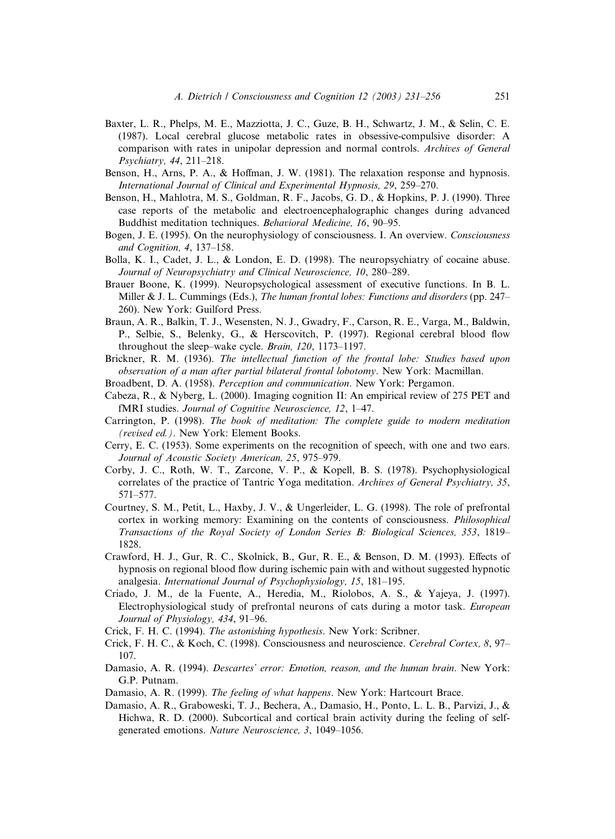- Baxter, L. R., Phelps, M. E., Mazziotta, J. C., Guze, B. H., Schwartz, J. M., & Selin, C. E. (1987).Local cerebral glucose metabolic rates in obsessive-compulsive disorder: A comparison with rates in unipolar depression and normal controls. Archives of General Psychiatry, 44, 211–218.
- Benson, H., Arns, P. A., & Hoffman, J. W. (1981). The relaxation response and hypnosis. International Journal of Clinical and Experimental Hypnosis, 29, 259–270.
- Benson, H., Mahlotra, M. S., Goldman, R. F., Jacobs, G. D., & Hopkins, P. J. (1990). Three case reports of the metabolic and electroencephalographic changes during advanced Buddhist meditation techniques. Behavioral Medicine, 16, 90–95.
- Bogen, J. E. (1995). On the neurophysiology of consciousness. I. An overview. Consciousness and Cognition, 4, 137–158.
- Bolla, K. I., Cadet, J. L., & London, E. D. (1998). The neuropsychiatry of cocaine abuse. Journal of Neuropsychiatry and Clinical Neuroscience, 10, 280–289.
- Brauer Boone, K. (1999). Neuropsychological assessment of executive functions. In B. L. Miller & J. L. Cummings (Eds.), The human frontal lobes: Functions and disorders (pp.  $247-$ 260). New York: Guilford Press.
- Braun, A. R., Balkin, T. J., Wesensten, N. J., Gwadry, F., Carson, R. E., Varga, M., Baldwin, P., Selbie, S., Belenky, G., & Herscovitch, P. (1997). Regional cerebral blood flow throughout the sleep–wake cycle. Brain, 120, 1173–1197.
- Brickner, R.M.(1936). The intellectual function of the frontal lobe: Studies based upon observation of a man after partial bilateral frontal lobotomy. New York: Macmillan.
- Broadbent, D. A. (1958). Perception and communication. New York: Pergamon.
- Cabeza, R., & Nyberg, L. (2000). Imaging cognition II: An empirical review of 275 PET and fMRI studies. Journal of Cognitive Neuroscience, 12, 1-47.
- Carrington, P.(1998). The book of meditation: The complete guide to modern meditation (revised ed.). New York: Element Books.
- Cerry, E. C. (1953). Some experiments on the recognition of speech, with one and two ears. Journal of Acoustic Society American, 25, 975–979.
- Corby, J. C., Roth, W. T., Zarcone, V. P., & Kopell, B. S. (1978). Psychophysiological correlates of the practice of Tantric Yoga meditation. Archives of General Psychiatry, 35, 571–577.
- Courtney, S. M., Petit, L., Haxby, J. V., & Ungerleider, L. G. (1998). The role of prefrontal cortex in working memory: Examining on the contents of consciousness. Philosophical Transactions of the Royal Society of London Series B: Biological Sciences, 353, 1819– 1828.
- Crawford, H. J., Gur, R. C., Skolnick, B., Gur, R. E., & Benson, D. M. (1993). Effects of hypnosis on regional blood flow during ischemic pain with and without suggested hypnotic analgesia. International Journal of Psychophysiology, 15, 181–195.
- Criado, J. M., de la Fuente, A., Heredia, M., Riolobos, A. S., & Yajeya, J. (1997). Electrophysiological study of prefrontal neurons of cats during a motor task. European Journal of Physiology, 434, 91–96.
- Crick, F. H. C. (1994). The astonishing hypothesis. New York: Scribner.
- Crick, F.H.C., & Koch, C.(1998).Consciousness and neuroscience. Cerebral Cortex, 8, 97– 107.
- Damasio, A. R. (1994). Descartes' error: Emotion, reason, and the human brain. New York: G.P. Putnam.
- Damasio, A. R. (1999). The feeling of what happens. New York: Hartcourt Brace.
- Damasio, A. R., Graboweski, T. J., Bechera, A., Damasio, H., Ponto, L. L. B., Parvizi, J., & Hichwa, R. D. (2000). Subcortical and cortical brain activity during the feeling of selfgenerated emotions. Nature Neuroscience, 3, 1049–1056.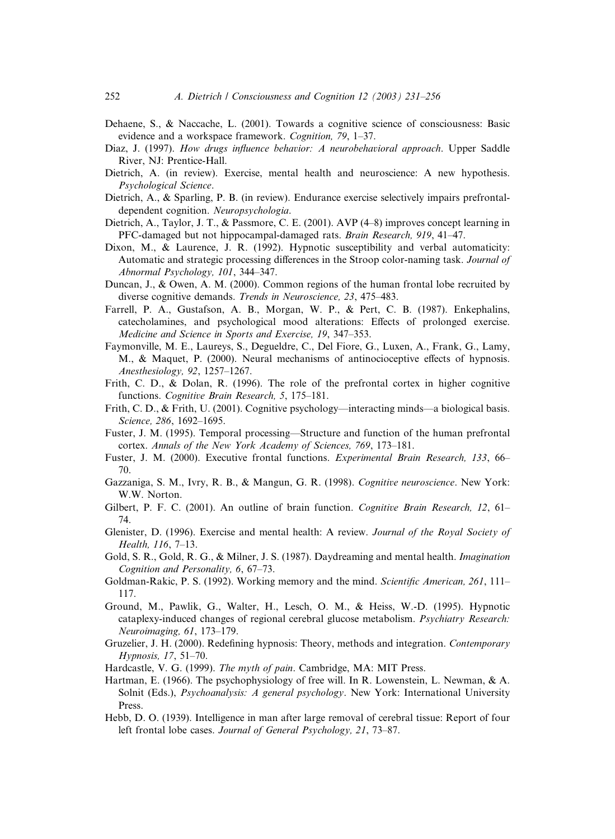- Dehaene, S., & Naccache, L. (2001). Towards a cognitive science of consciousness: Basic evidence and a workspace framework. Cognition, 79, 1–37.
- Diaz, J. (1997). How drugs influence behavior: A neurobehavioral approach. Upper Saddle River, NJ: Prentice-Hall.
- Dietrich, A. (in review). Exercise, mental health and neuroscience: A new hypothesis. Psychological Science.
- Dietrich, A., & Sparling, P. B. (in review). Endurance exercise selectively impairs prefrontaldependent cognition. Neuropsychologia.
- Dietrich, A., Taylor, J. T., & Passmore, C. E. (2001). AVP (4–8) improves concept learning in PFC-damaged but not hippocampal-damaged rats. Brain Research, 919, 41–47.
- Dixon, M., & Laurence, J. R. (1992). Hypnotic susceptibility and verbal automaticity: Automatic and strategic processing differences in the Stroop color-naming task. Journal of Abnormal Psychology, 101, 344–347.
- Duncan, J., & Owen, A. M. (2000). Common regions of the human frontal lobe recruited by diverse cognitive demands. Trends in Neuroscience, 23, 475-483.
- Farrell, P. A., Gustafson, A. B., Morgan, W. P., & Pert, C. B. (1987). Enkephalins, catecholamines, and psychological mood alterations: Effects of prolonged exercise. Medicine and Science in Sports and Exercise, 19, 347–353.
- Faymonville, M. E., Laureys, S., Degueldre, C., Del Fiore, G., Luxen, A., Frank, G., Lamy, M., & Maquet, P. (2000). Neural mechanisms of antinocioceptive effects of hypnosis. Anesthesiology, 92, 1257–1267.
- Frith, C.D., & Dolan, R. (1996). The role of the prefrontal cortex in higher cognitive functions. Cognitive Brain Research, 5, 175–181.
- Frith, C.D., & Frith, U. (2001). Cognitive psychology—interacting minds—a biological basis. Science, 286, 1692–1695.
- Fuster, J. M. (1995). Temporal processing—Structure and function of the human prefrontal cortex. Annals of the New York Academy of Sciences, 769, 173–181.
- Fuster, J. M. (2000). Executive frontal functions. Experimental Brain Research, 133, 66– 70.
- Gazzaniga, S. M., Ivry, R. B., & Mangun, G. R. (1998). Cognitive neuroscience. New York: W.W. Norton.
- Gilbert, P. F. C. (2001). An outline of brain function. Cognitive Brain Research, 12, 61– 74.
- Glenister, D.(1996).Exercise and mental health: A review. Journal of the Royal Society of Health, 116, 7–13.
- Gold, S. R., Gold, R. G., & Milner, J. S. (1987). Daydreaming and mental health. *Imagination* Cognition and Personality, 6, 67–73.
- Goldman-Rakic, P. S. (1992). Working memory and the mind. Scientific American, 261, 111– 117.
- Ground, M., Pawlik, G., Walter, H., Lesch, O. M., & Heiss, W.-D. (1995). Hypnotic cataplexy-induced changes of regional cerebral glucose metabolism. Psychiatry Research: Neuroimaging, 61, 173–179.
- Gruzelier, J. H. (2000). Redefining hypnosis: Theory, methods and integration. Contemporary Hypnosis, 17, 51–70.
- Hardcastle, V. G. (1999). The myth of pain. Cambridge, MA: MIT Press.
- Hartman, E. (1966). The psychophysiology of free will. In R. Lowenstein, L. Newman, & A. Solnit (Eds.), Psychoanalysis: A general psychology. New York: International University Press.
- Hebb, D. O. (1939). Intelligence in man after large removal of cerebral tissue: Report of four left frontal lobe cases. Journal of General Psychology, 21, 73–87.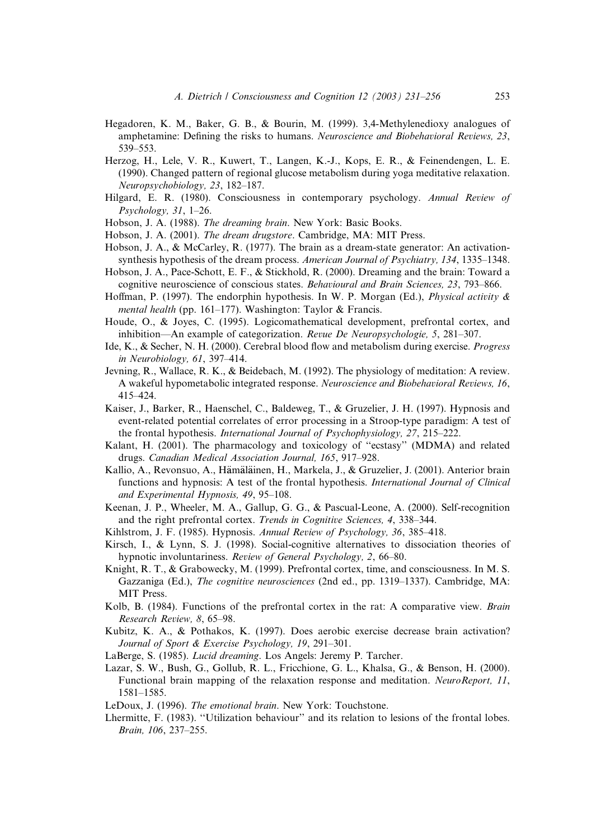- Hegadoren, K.M., Baker, G.B., & Bourin, M.(1999).3,4-Methylenedioxy analogues of amphetamine: Defining the risks to humans. Neuroscience and Biobehavioral Reviews, 23, 539–553.
- Herzog, H., Lele, V. R., Kuwert, T., Langen, K.-J., Kops, E. R., & Feinendengen, L. E. (1990).Changed pattern of regional glucose metabolism during yoga meditative relaxation. Neuropsychobiology, 23, 182–187.
- Hilgard, E. R. (1980). Consciousness in contemporary psychology. Annual Review of Psychology, 31, 1–26.
- Hobson, J. A. (1988). The dreaming brain. New York: Basic Books.
- Hobson, J. A. (2001). The dream drugstore. Cambridge, MA: MIT Press.
- Hobson, J. A., & McCarley, R. (1977). The brain as a dream-state generator: An activationsynthesis hypothesis of the dream process. American Journal of Psychiatry, 134, 1335–1348.
- Hobson, J. A., Pace-Schott, E. F., & Stickhold, R. (2000). Dreaming and the brain: Toward a cognitive neuroscience of conscious states. Behavioural and Brain Sciences, 23, 793–866.
- Hoffman, P. (1997). The endorphin hypothesis. In W. P. Morgan (Ed.), *Physical activity &* mental health (pp. 161–177). Washington: Taylor & Francis.
- Houde, O., & Joyes, C. (1995). Logicomathematical development, prefrontal cortex, and inhibition—An example of categorization. Revue De Neuropsychologie, 5, 281–307.
- Ide, K., & Secher, N. H. (2000). Cerebral blood flow and metabolism during exercise. *Progress* in Neurobiology, 61, 397–414.
- Jevning, R., Wallace, R. K., & Beidebach, M. (1992). The physiology of meditation: A review. A wakeful hypometabolic integrated response. Neuroscience and Biobehavioral Reviews, 16, 415–424.
- Kaiser, J., Barker, R., Haenschel, C., Baldeweg, T., & Gruzelier, J. H. (1997). Hypnosis and event-related potential correlates of error processing in a Stroop-type paradigm: A test of the frontal hypothesis. International Journal of Psychophysiology, 27, 215–222.
- Kalant, H. (2001). The pharmacology and toxicology of "ecstasy" (MDMA) and related drugs. Canadian Medical Association Journal, 165, 917–928.
- Kallio, A., Revonsuo, A., Hämäläinen, H., Markela, J., & Gruzelier, J. (2001). Anterior brain functions and hypnosis: A test of the frontal hypothesis. International Journal of Clinical and Experimental Hypnosis, 49, 95–108.
- Keenan, J. P., Wheeler, M. A., Gallup, G. G., & Pascual-Leone, A. (2000). Self-recognition and the right prefrontal cortex. Trends in Cognitive Sciences, 4, 338–344.
- Kihlstrom, J. F. (1985). Hypnosis. Annual Review of Psychology, 36, 385-418.
- Kirsch, I., & Lynn, S. J. (1998). Social-cognitive alternatives to dissociation theories of hypnotic involuntariness. Review of General Psychology, 2, 66–80.
- Knight, R. T., & Grabowecky, M. (1999). Prefrontal cortex, time, and consciousness. In M. S. Gazzaniga (Ed.), The cognitive neurosciences (2nd ed., pp. 1319–1337). Cambridge, MA: MIT Press.
- Kolb, B. (1984). Functions of the prefrontal cortex in the rat: A comparative view. Brain Research Review, 8, 65–98.
- Kubitz, K. A., & Pothakos, K. (1997). Does aerobic exercise decrease brain activation? Journal of Sport & Exercise Psychology, 19, 291–301.
- LaBerge, S. (1985). *Lucid dreaming*. Los Angels: Jeremy P. Tarcher.
- Lazar, S. W., Bush, G., Gollub, R. L., Fricchione, G. L., Khalsa, G., & Benson, H. (2000). Functional brain mapping of the relaxation response and meditation. NeuroReport, 11, 1581–1585.
- LeDoux, J. (1996). The emotional brain. New York: Touchstone.
- Lhermitte, F.(1983).''Utilization behaviour'' and its relation to lesions of the frontal lobes. Brain, 106, 237–255.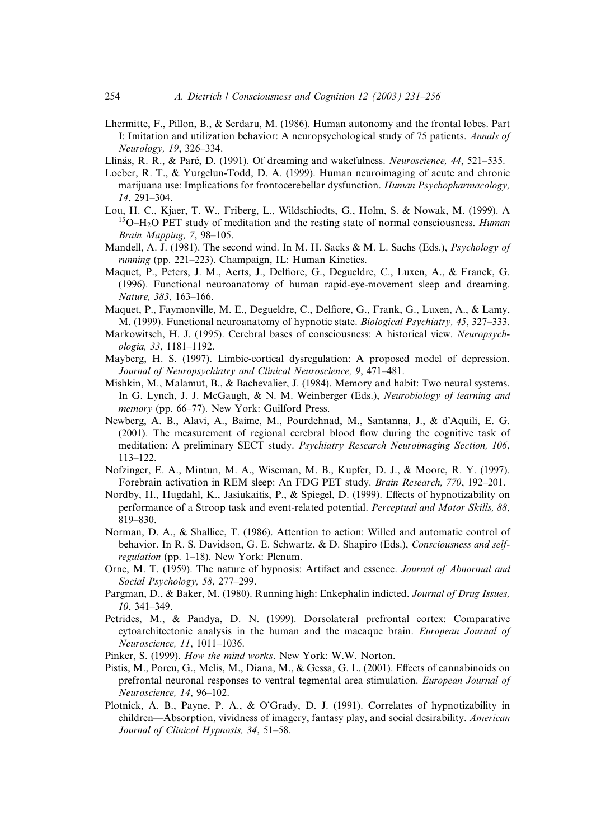- Lhermitte, F., Pillon, B., & Serdaru, M. (1986). Human autonomy and the frontal lobes. Part I: Imitation and utilization behavior: A neuropsychological study of 75 patients. Annals of Neurology, 19, 326–334.
- Llinás, R. R., & Paré, D. (1991). Of dreaming and wakefulness. Neuroscience, 44, 521–535.
- Loeber, R. T., & Yurgelun-Todd, D. A. (1999). Human neuroimaging of acute and chronic marijuana use: Implications for frontocerebellar dysfunction. Human Psychopharmacology, 14, 291–304.
- Lou, H. C., Kjaer, T. W., Friberg, L., Wildschiodts, G., Holm, S. & Nowak, M. (1999). A  $15O-H<sub>2</sub>O$  PET study of meditation and the resting state of normal consciousness. *Human* Brain Mapping, 7, 98–105.
- Mandell, A. J. (1981). The second wind. In M. H. Sacks & M. L. Sachs (Eds.), *Psychology of* running (pp. 221–223). Champaign, IL: Human Kinetics.
- Maquet, P., Peters, J. M., Aerts, J., Delfiore, G., Degueldre, C., Luxen, A., & Franck, G. (1996).Functional neuroanatomy of human rapid-eye-movement sleep and dreaming. Nature, 383, 163–166.
- Maquet, P., Faymonville, M. E., Degueldre, C., Delfiore, G., Frank, G., Luxen, A., & Lamy, M. (1999). Functional neuroanatomy of hypnotic state. *Biological Psychiatry*, 45, 327–333.
- Markowitsch, H. J. (1995). Cerebral bases of consciousness: A historical view. Neuropsychologia, 33, 1181–1192.
- Mayberg, H.S.(1997).Limbic-cortical dysregulation: A proposed model of depression. Journal of Neuropsychiatry and Clinical Neuroscience, 9, 471–481.
- Mishkin, M., Malamut, B., & Bachevalier, J. (1984). Memory and habit: Two neural systems. In G. Lynch, J. J. McGaugh, & N. M. Weinberger (Eds.), Neurobiology of learning and memory (pp.  $66-77$ ). New York: Guilford Press.
- Newberg, A. B., Alavi, A., Baime, M., Pourdehnad, M., Santanna, J., & d'Aquili, E. G. (2001).The measurement of regional cerebral blood flow during the cognitive task of meditation: A preliminary SECT study. Psychiatry Research Neuroimaging Section, 106, 113–122.
- Nofzinger, E. A., Mintun, M. A., Wiseman, M. B., Kupfer, D. J., & Moore, R. Y. (1997). Forebrain activation in REM sleep: An FDG PET study. Brain Research, 770, 192–201.
- Nordby, H., Hugdahl, K., Jasiukaitis, P., & Spiegel, D. (1999). Effects of hypnotizability on performance of a Stroop task and event-related potential. Perceptual and Motor Skills, 88, 819–830.
- Norman, D. A., & Shallice, T. (1986). Attention to action: Willed and automatic control of behavior. In R. S. Davidson, G. E. Schwartz, & D. Shapiro (Eds.), Consciousness and selfregulation (pp. 1–18). New York: Plenum.
- Orne, M. T. (1959). The nature of hypnosis: Artifact and essence. Journal of Abnormal and Social Psychology, 58, 277–299.
- Pargman, D., & Baker, M. (1980). Running high: Enkephalin indicted. *Journal of Drug Issues*, 10, 341–349.
- Petrides, M., & Pandya, D. N. (1999). Dorsolateral prefrontal cortex: Comparative cytoarchitectonic analysis in the human and the macaque brain. European Journal of Neuroscience, 11, 1011–1036.
- Pinker, S. (1999). How the mind works. New York: W.W. Norton.
- Pistis, M., Porcu, G., Melis, M., Diana, M., & Gessa, G. L. (2001). Effects of cannabinoids on prefrontal neuronal responses to ventral tegmental area stimulation. European Journal of Neuroscience, 14, 96–102.
- Plotnick, A. B., Payne, P. A., & O'Grady, D. J. (1991). Correlates of hypnotizability in children—Absorption, vividness of imagery, fantasy play, and social desirability. American Journal of Clinical Hypnosis, 34, 51–58.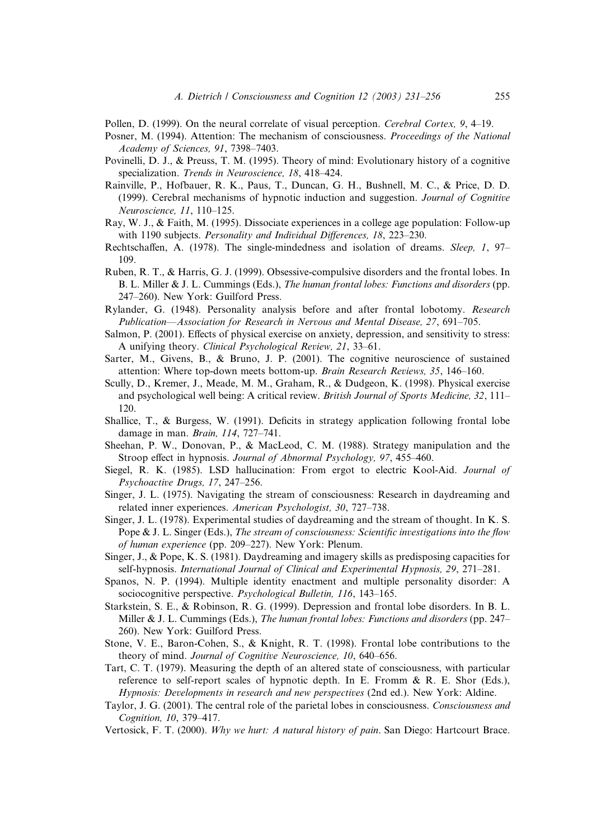- Pollen, D. (1999). On the neural correlate of visual perception. *Cerebral Cortex*, 9, 4–19.
- Posner, M. (1994). Attention: The mechanism of consciousness. Proceedings of the National Academy of Sciences, 91, 7398–7403.
- Povinelli, D. J., & Preuss, T. M. (1995). Theory of mind: Evolutionary history of a cognitive specialization. Trends in Neuroscience, 18, 418-424.
- Rainville, P., Hofbauer, R. K., Paus, T., Duncan, G. H., Bushnell, M. C., & Price, D. D. (1999). Cerebral mechanisms of hypnotic induction and suggestion. *Journal of Cognitive* Neuroscience, 11, 110–125.
- Ray, W.J., & Faith, M.(1995).Dissociate experiences in a college age population: Follow-up with 1190 subjects. Personality and Individual Differences, 18, 223-230.
- Rechtschaffen, A. (1978). The single-mindedness and isolation of dreams. Sleep, 1, 97– 109.
- Ruben, R. T., & Harris, G. J. (1999). Obsessive-compulsive disorders and the frontal lobes. In B. L. Miller & J. L. Cummings (Eds.), The human frontal lobes: Functions and disorders (pp. 247–260). New York: Guilford Press.
- Rylander, G. (1948). Personality analysis before and after frontal lobotomy. Research Publication—Association for Research in Nervous and Mental Disease, 27, 691–705.
- Salmon, P. (2001). Effects of physical exercise on anxiety, depression, and sensitivity to stress: A unifying theory. Clinical Psychological Review, 21, 33–61.
- Sarter, M., Givens, B., & Bruno, J. P. (2001). The cognitive neuroscience of sustained attention: Where top-down meets bottom-up. Brain Research Reviews, 35, 146–160.
- Scully, D., Kremer, J., Meade, M. M., Graham, R., & Dudgeon, K. (1998). Physical exercise and psychological well being: A critical review. British Journal of Sports Medicine, 32, 111-120.
- Shallice, T., & Burgess, W. (1991). Deficits in strategy application following frontal lobe damage in man. Brain, 114, 727–741.
- Sheehan, P. W., Donovan, P., & MacLeod, C. M. (1988). Strategy manipulation and the Stroop effect in hypnosis. Journal of Abnormal Psychology, 97, 455–460.
- Siegel, R. K. (1985). LSD hallucination: From ergot to electric Kool-Aid. Journal of Psychoactive Drugs, 17, 247–256.
- Singer, J. L. (1975). Navigating the stream of consciousness: Research in daydreaming and related inner experiences. American Psychologist, 30, 727–738.
- Singer, J.L.(1978).Experimental studies of daydreaming and the stream of thought.In K.S. Pope & J. L. Singer (Eds.), The stream of consciousness: Scientific investigations into the flow of human experience (pp. 209–227). New York: Plenum.
- Singer, J., & Pope, K. S. (1981). Daydreaming and imagery skills as predisposing capacities for self-hypnosis. International Journal of Clinical and Experimental Hypnosis, 29, 271–281.
- Spanos, N. P. (1994). Multiple identity enactment and multiple personality disorder: A sociocognitive perspective. Psychological Bulletin, 116, 143–165.
- Starkstein, S.E., & Robinson, R.G.(1999).Depression and frontal lobe disorders.In B.L. Miller & J. L. Cummings (Eds.), The human frontal lobes: Functions and disorders (pp. 247– 260). New York: Guilford Press.
- Stone, V. E., Baron-Cohen, S., & Knight, R. T. (1998). Frontal lobe contributions to the theory of mind. Journal of Cognitive Neuroscience, 10, 640–656.
- Tart, C. T. (1979). Measuring the depth of an altered state of consciousness, with particular reference to self-report scales of hypnotic depth. In E. Fromm & R. E. Shor (Eds.), Hypnosis: Developments in research and new perspectives (2nd ed.). New York: Aldine.
- Taylor, J.G.(2001).The central role of the parietal lobes in consciousness. Consciousness and Cognition, 10, 379–417.
- Vertosick, F. T. (2000). Why we hurt: A natural history of pain. San Diego: Hartcourt Brace.